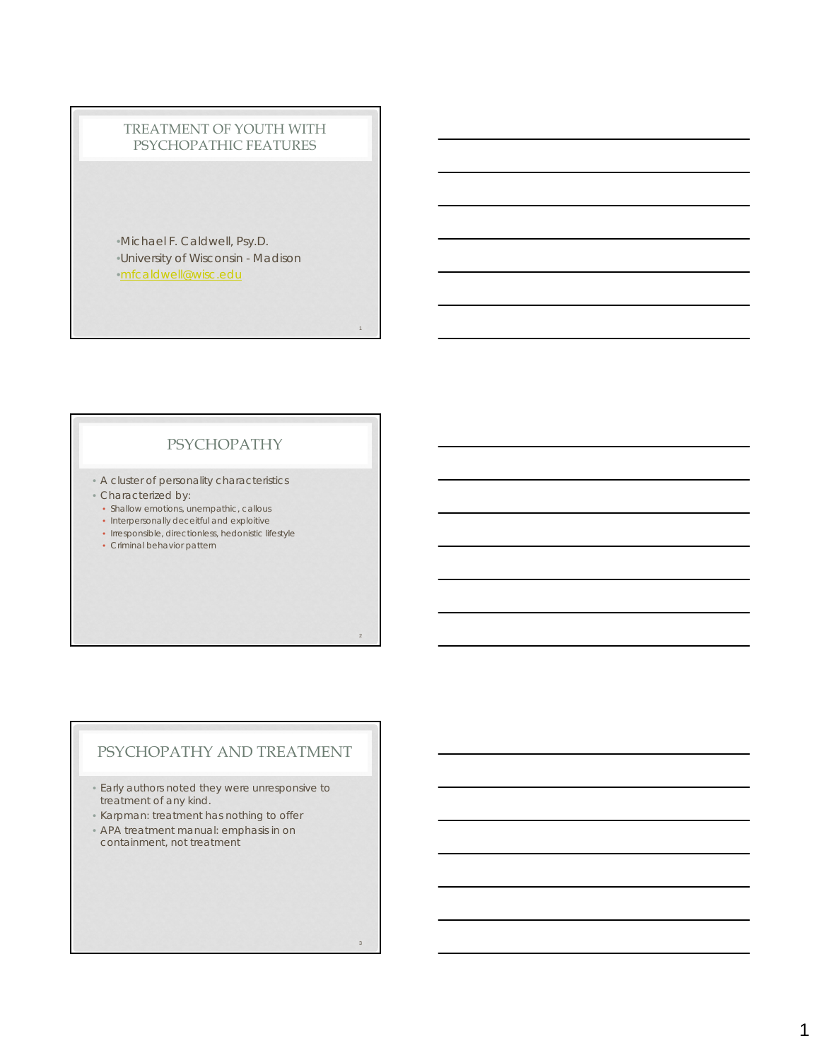#### TREATMENT OF YOUTH WITH PSYCHOPATHIC FEATURES

•Michael F. Caldwell, Psy.D. •University of Wisconsin - Madison •mfcaldwell@wisc.edu

## PSYCHOPATHY

1

2

3

• A cluster of personality characteristics

- Characterized by:
	- Shallow emotions, unempathic, callous
	- Interpersonally deceitful and exploitive
	- Irresponsible, directionless, hedonistic lifestyle
	- Criminal behavior pattern

## PSYCHOPATHY AND TREATMENT

• Early authors noted they were unresponsive to treatment of any kind.

- Karpman: treatment has nothing to offer
- APA treatment manual: emphasis in on containment, not treatment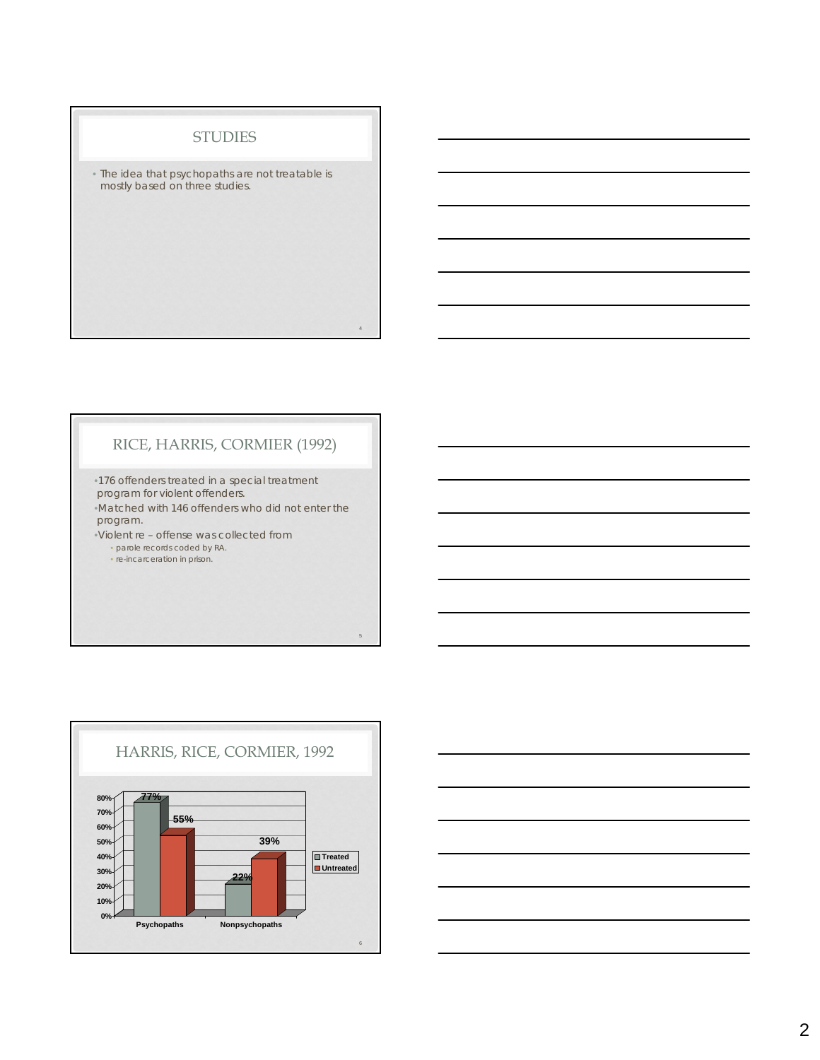#### **STUDIES**

• The idea that psychopaths are not treatable is mostly based on three studies.

## RICE, HARRIS, CORMIER (1992)

4

5

•176 offenders treated in a special treatment program for violent offenders. •Matched with 146 offenders who did not enter the program. •Violent re – offense was collected from

• parole records coded by RA. • re-incarceration in prison.



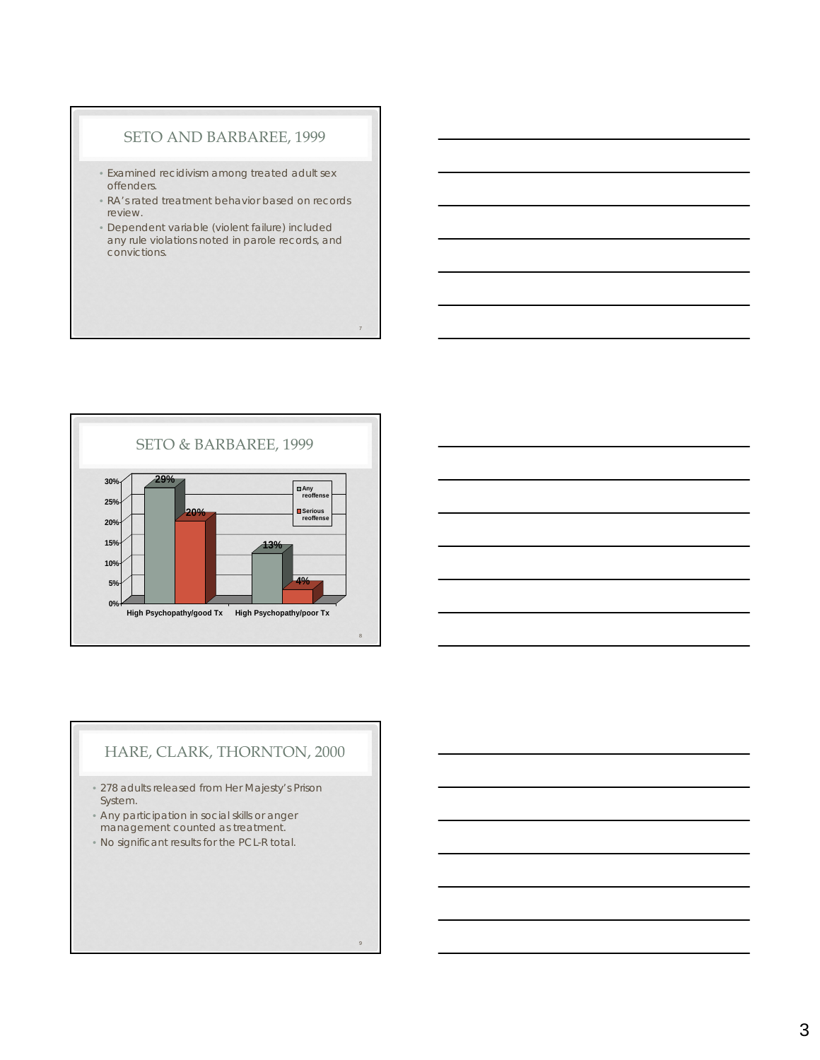#### SETO AND BARBAREE, 1999

- Examined recidivism among treated adult sex offenders.
- RA's rated treatment behavior based on records review.
- Dependent variable (violent failure) included any rule violations noted in parole records, and convictions.

7

 $\alpha$ 





## HARE, CLARK, THORNTON, 2000

- 278 adults released from Her Majesty's Prison System.
- Any participation in social skills or anger management counted as treatment.
- No significant results for the PCL-R total.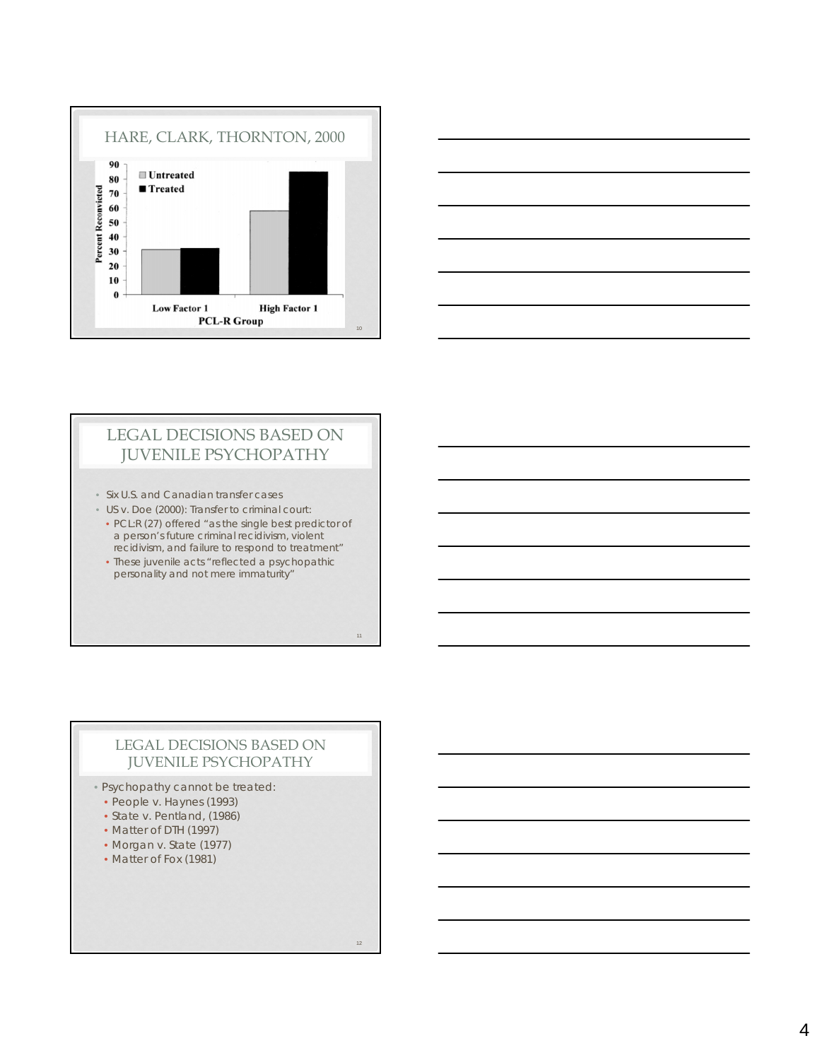



## LEGAL DECISIONS BASED ON JUVENILE PSYCHOPATHY

- Six U.S. and Canadian transfer cases
- US v. Doe (2000): Transfer to criminal court:
- PCL:R (27) offered "as the single best predictor of a person's future criminal recidivism, violent recidivism, and failure to respond to treatment"
- These juvenile acts "reflected a psychopathic personality and not mere immaturity"

#### LEGAL DECISIONS BASED ON JUVENILE PSYCHOPATHY

- Psychopathy cannot be treated:
	- People v. Haynes (1993)
	- State v. Pentland, (1986)
	- Matter of DTH (1997)
	- Morgan v. State (1977)
	- Matter of Fox (1981)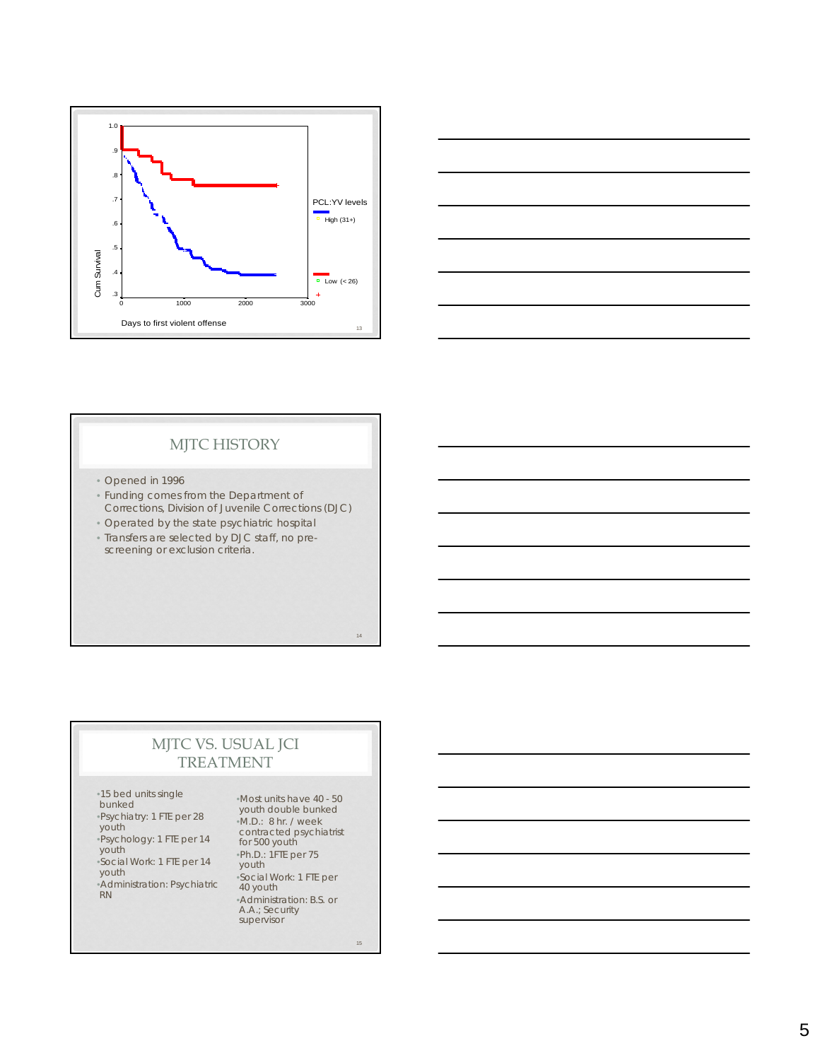



## MJTC HISTORY

- Opened in 1996
- Funding comes from the Department of Corrections, Division of Juvenile Corrections (DJC)
- Operated by the state psychiatric hospital
- Transfers are selected by DJC staff, no prescreening or exclusion criteria.

# MJTC VS. USUAL JCI

## TREATMENT

•15 bed units single bunked •Psychiatry: 1 FTE per 28 youth •Psychology: 1 FTE per 14 youth •Social Work: 1 FTE per 14 youth •Administration: Psychiatric RN

•Most units have 40 - 50 youth double bunked •M.D.: 8 hr. / week contracted psychiatrist for 500 youth •Ph.D.: 1FTE per 75 youth •Social Work: 1 FTE per 40 youth •Administration: B.S. or A.A.; Security supervisor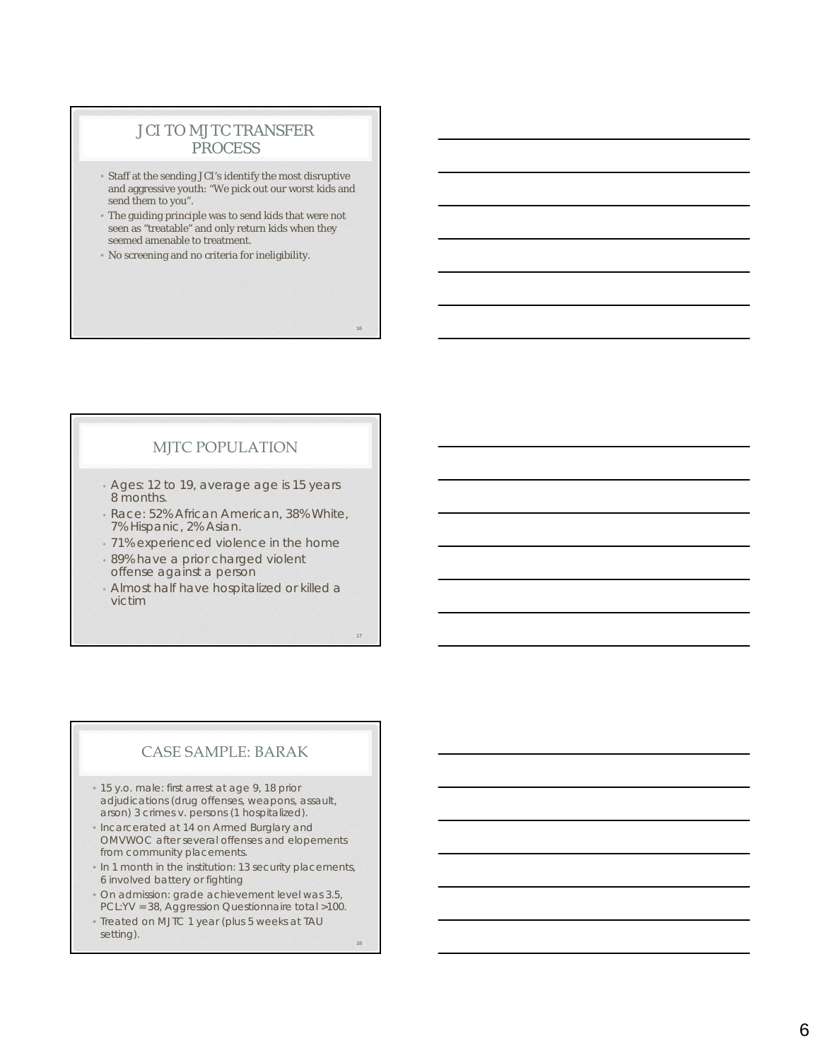## JCI TO MJTC TRANSFER **PROCESS**

- Staff at the sending JCI's identify the most disruptive and aggressive youth: "We pick out our worst kids and send them to you".
- The guiding principle was to send kids that were not seen as "treatable" and only return kids when they seemed amenable to treatment.
- No screening and no criteria for ineligibility.

## MJTC POPULATION

- Ages: 12 to 19, average age is 15 years 8 months.
- Race: 52% African American, 38% White, 7% Hispanic, 2% Asian.
- 71% experienced violence in the home
- 89% have a prior charged violent offense against a person
- Almost half have hospitalized or killed a victim

17

16

## CASE SAMPLE: BARAK

- 15 y.o. male: first arrest at age 9, 18 prior adjudications (drug offenses, weapons, assault, arson) 3 crimes v. persons (1 hospitalized).
- Incarcerated at 14 on Armed Burglary and OMVWOC after several offenses and elopements from community placements.
- In 1 month in the institution: 13 security placements, 6 involved battery or fighting
- On admission: grade achievement level was 3.5, PCL:YV = 38, Aggression Questionnaire total >100.
- Treated on MJTC 1 year (plus 5 weeks at TAU setting). 18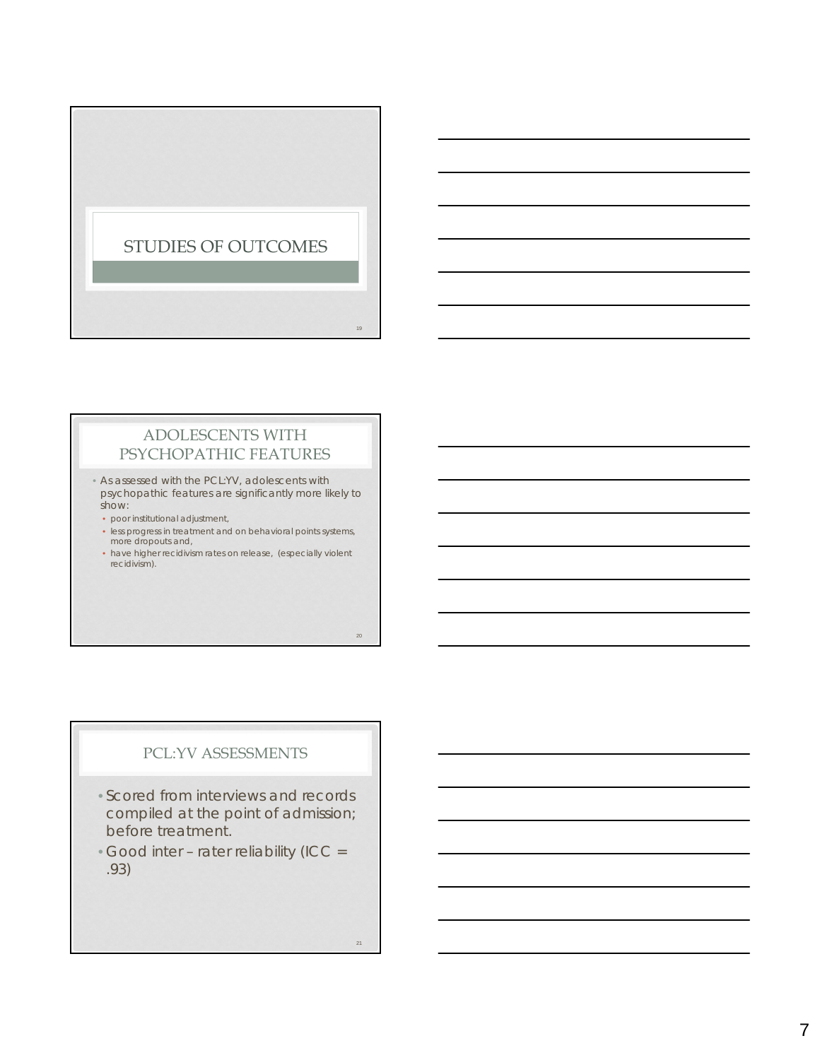

## ADOLESCENTS WITH PSYCHOPATHIC FEATURES

• As assessed with the PCL:YV, adolescents with psychopathic features are significantly more likely to show:

- poor institutional adjustment,
- less progress in treatment and on behavioral points systems, more dropouts and,
- have higher recidivism rates on release, (especially violent recidivism).

## PCL:YV ASSESSMENTS

- Scored from interviews and records compiled at the point of admission; before treatment.
- Good inter rater reliability (ICC = .93)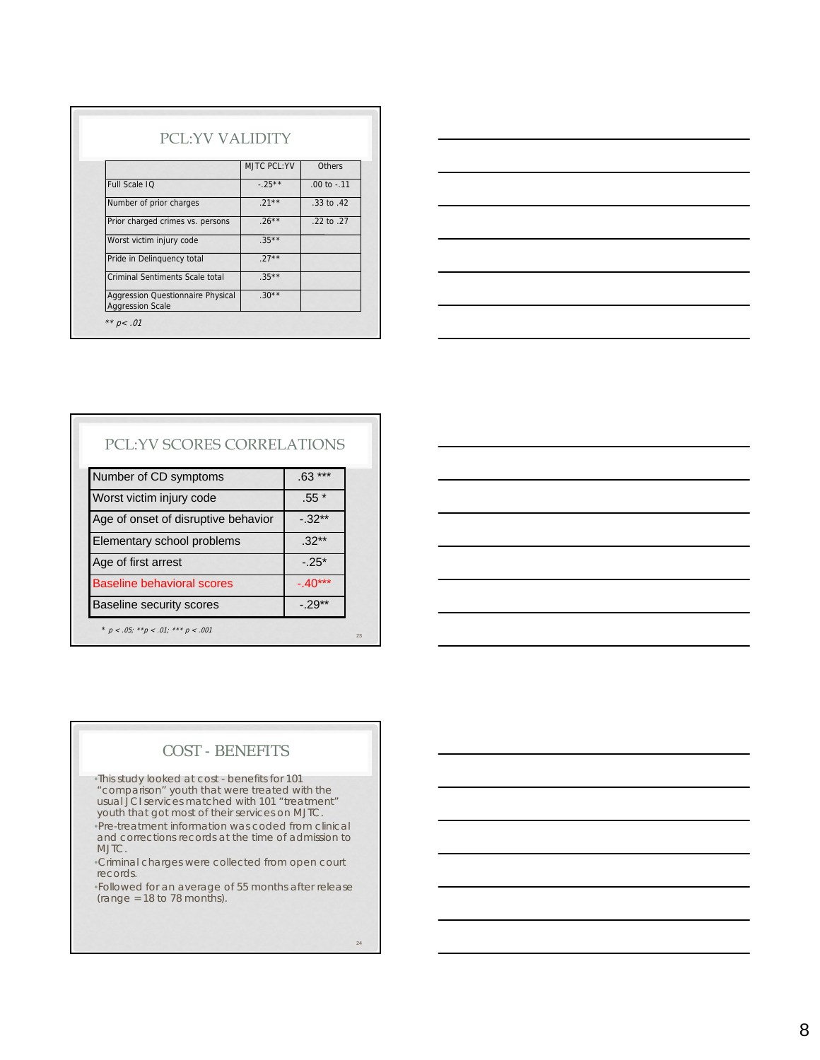|                                                                     | MJTC PCL:YV | Others          |
|---------------------------------------------------------------------|-------------|-----------------|
| Full Scale IO                                                       | $-25**$     | $.00$ to $-.11$ |
| Number of prior charges                                             | $21**$      | .33 to .42      |
| Prior charged crimes vs. persons                                    | $.26***$    | .22 to .27      |
| Worst victim injury code                                            | $.35***$    |                 |
| Pride in Delinguency total                                          | $27**$      |                 |
| Criminal Sentiments Scale total                                     | $.35***$    |                 |
| <b>Aggression Questionnaire Physical</b><br><b>Aggression Scale</b> | $.30**$     |                 |



## PCL:YV SCORES CORRELATIONS

| Number of CD symptoms                     | .63        |
|-------------------------------------------|------------|
| Worst victim injury code                  | $.55*$     |
| Age of onset of disruptive behavior       | $-32**$    |
| Elementary school problems                | $.32**$    |
| Age of first arrest                       | $-25*$     |
| <b>Baseline behavioral scores</b>         | $-0.40***$ |
| <b>Baseline security scores</b>           | $-29**$    |
| * $p < .05;$ ** $p < .01;$ *** $p < .001$ |            |

| <u> 1989 - Johann Stoff, deutscher Stoff, der Stoff, der Stoff, der Stoff, der Stoff, der Stoff, der Stoff, der S</u> |  |                                                                                                                       | <u> Liberal Communication</u> |
|-----------------------------------------------------------------------------------------------------------------------|--|-----------------------------------------------------------------------------------------------------------------------|-------------------------------|
|                                                                                                                       |  | <u> 1989 - Johann Stoff, deutscher Stoffen und der Stoffen und der Stoffen und der Stoffen und der Stoffen und de</u> |                               |
|                                                                                                                       |  | <u> 1989 - Johann Barn, mars ann an t-Amhainn an t-Amhainn an t-Amhainn an t-Amhainn an t-Amhainn an t-Amhainn a</u>  |                               |
|                                                                                                                       |  | <u> 1989 - Johann Stoff, deutscher Stoff, der Stoff, der Stoff, der Stoff, der Stoff, der Stoff, der Stoff, der S</u> |                               |
|                                                                                                                       |  |                                                                                                                       |                               |
|                                                                                                                       |  |                                                                                                                       |                               |
|                                                                                                                       |  |                                                                                                                       |                               |

## COST - BENEFITS

•This study looked at cost - benefits for 101 "comparison" youth that were treated with the usual JCI services matched with 101 "treatment" youth that got most of their services on MJTC. •Pre-treatment information was coded from clinical and corrections records at the time of admission to

MJTC. •Criminal charges were collected from open court

records.

•Followed for an average of 55 months after release  $(range = 18 to 78 months).$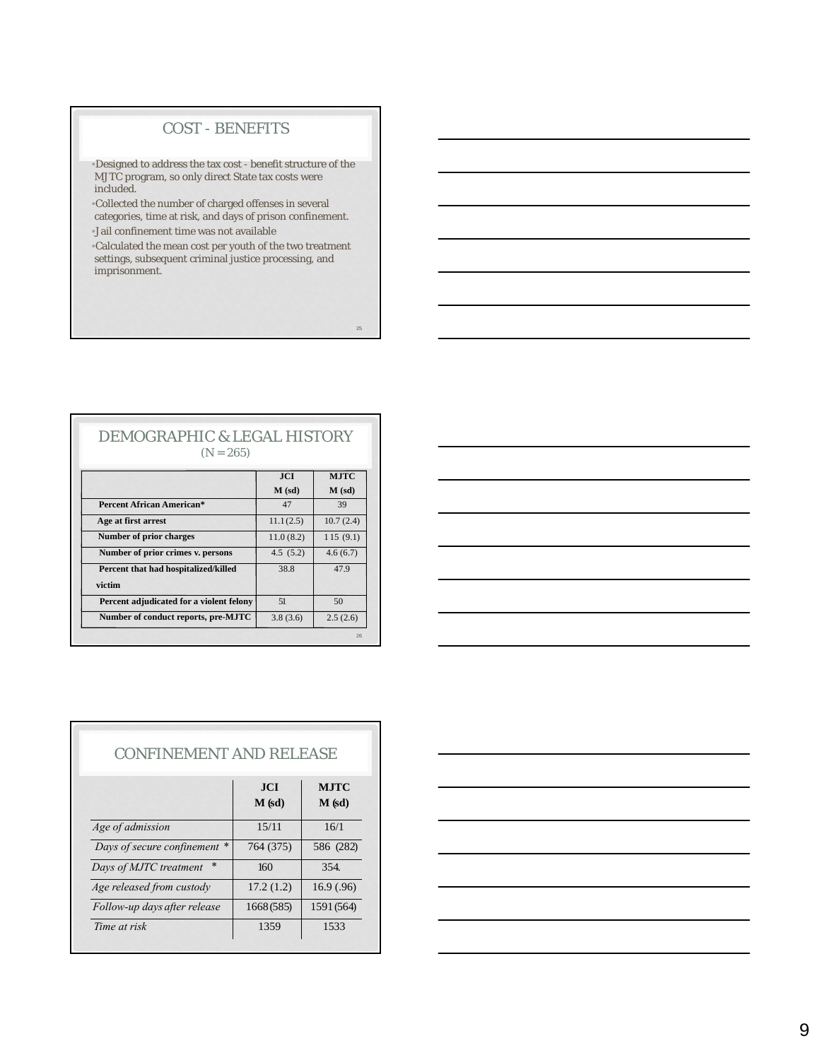## COST - BENEFITS

•Designed to address the tax cost - benefit structure of the MJTC program, so only direct State tax costs were included.

•Collected the number of charged offenses in several categories, time at risk, and days of prison confinement.

•Jail confinement time was not available

•Calculated the mean cost per youth of the two treatment settings, subsequent criminal justice processing, and imprisonment.

25

#### DEMOGRAPHIC & LEGAL HISTORY  $(N = 265)$

|                                          | <b>JCI</b> | <b>MJTC</b> |
|------------------------------------------|------------|-------------|
|                                          | $M$ (sd)   | $M$ (sd)    |
| <b>Percent African American*</b>         | 47         | 39          |
| Age at first arrest                      | 11.1(2.5)  | 10.7(2.4)   |
| <b>Number of prior charges</b>           | 11.0(8.2)  | 115(9.1)    |
| Number of prior crimes v. persons        | 4.5(5.2)   | 4.6(6.7)    |
| Percent that had hospitalized/killed     | 38.8       | 47.9        |
| victim                                   |            |             |
| Percent adjudicated for a violent felony | 51         | 50          |
| Number of conduct reports, pre-MJTC      | 3.8(3.6)   | 2.5(2.6)    |

| $\overbrace{\hspace{27mm}}^{}$ | the contract of the contract of the contract of the contract of the contract of                                        |  |  |  |
|--------------------------------|------------------------------------------------------------------------------------------------------------------------|--|--|--|
|                                |                                                                                                                        |  |  |  |
|                                | <u> 1999 - Johann John Stoff, deutscher Stoffen und der Stoffen und der Stoffen und der Stoffen und der Stoffen un</u> |  |  |  |
|                                | <u> Alexander de la contrada de la contrada de la contrada de la contrada de la contrada de la contrada de la co</u>   |  |  |  |
|                                |                                                                                                                        |  |  |  |
|                                | <u> Alexandro de la contrada de la contrada de la contrada de la contrada de la contrada de la contrada de la co</u>   |  |  |  |
|                                |                                                                                                                        |  |  |  |

|                                  | JCI        | <b>MJTC</b> |  |
|----------------------------------|------------|-------------|--|
|                                  | $M$ (sd)   | $M$ (sd)    |  |
| Age of admission                 | 15/11      | 16/1        |  |
| Days of secure confinement *     | 764 (375)  | 586 (282)   |  |
| $\ast$<br>Days of MJTC treatment | 160        | 354.        |  |
| Age released from custody        | 17.2(1.2)  | 16.9(0.96)  |  |
| Follow-up days after release     | 1668 (585) | 1591 (564)  |  |

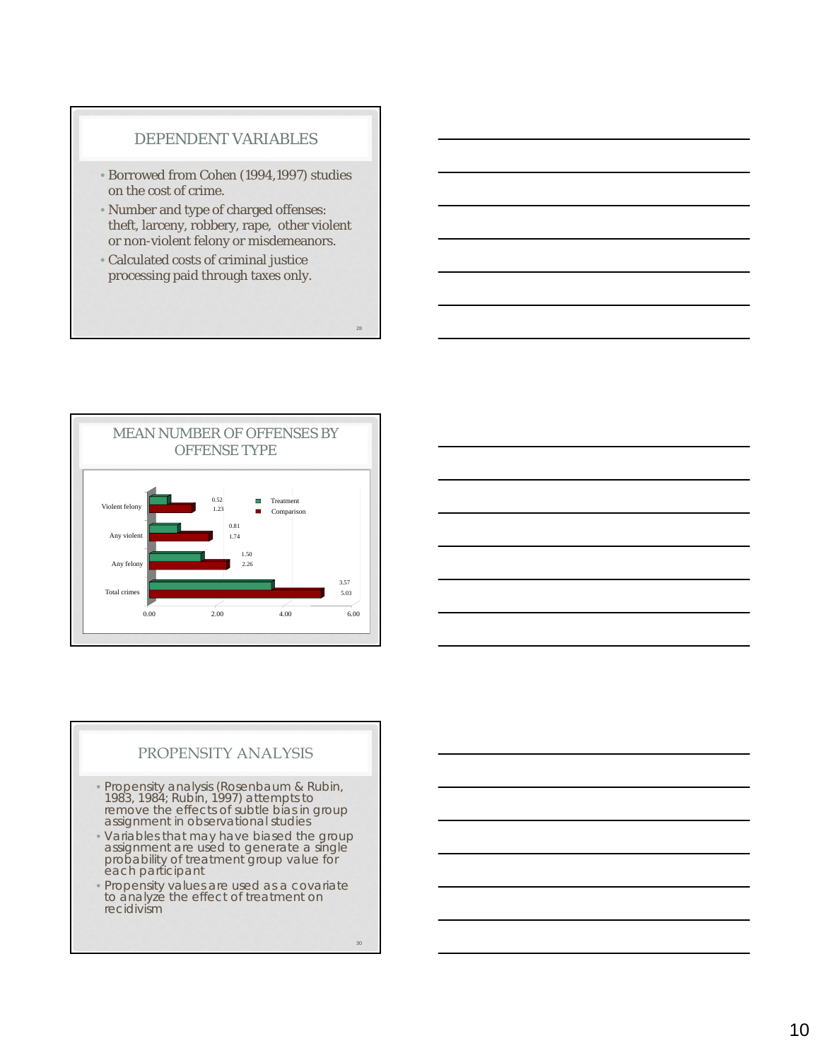#### DEPENDENT VARIABLES

- Borrowed from Cohen (1994,1997) studies on the cost of crime.
- Number and type of charged offenses: theft, larceny, robbery, rape, other violent or non-violent felony or misdemeanors.
- Calculated costs of criminal justice processing paid through taxes only.





#### PROPENSITY ANALYSIS

- Propensity analysis (Rosenbaum & Rubin, 1983, 1984; Rubin, 1997) attempts to remove the effects of subtle bias in group assignment in observational studies
- Variables that may have biased the group assignment are used to generate a single probability of treatment group value for each participant
- Propensity values are used as a covariate to analyze the effect of treatment on recidivism

30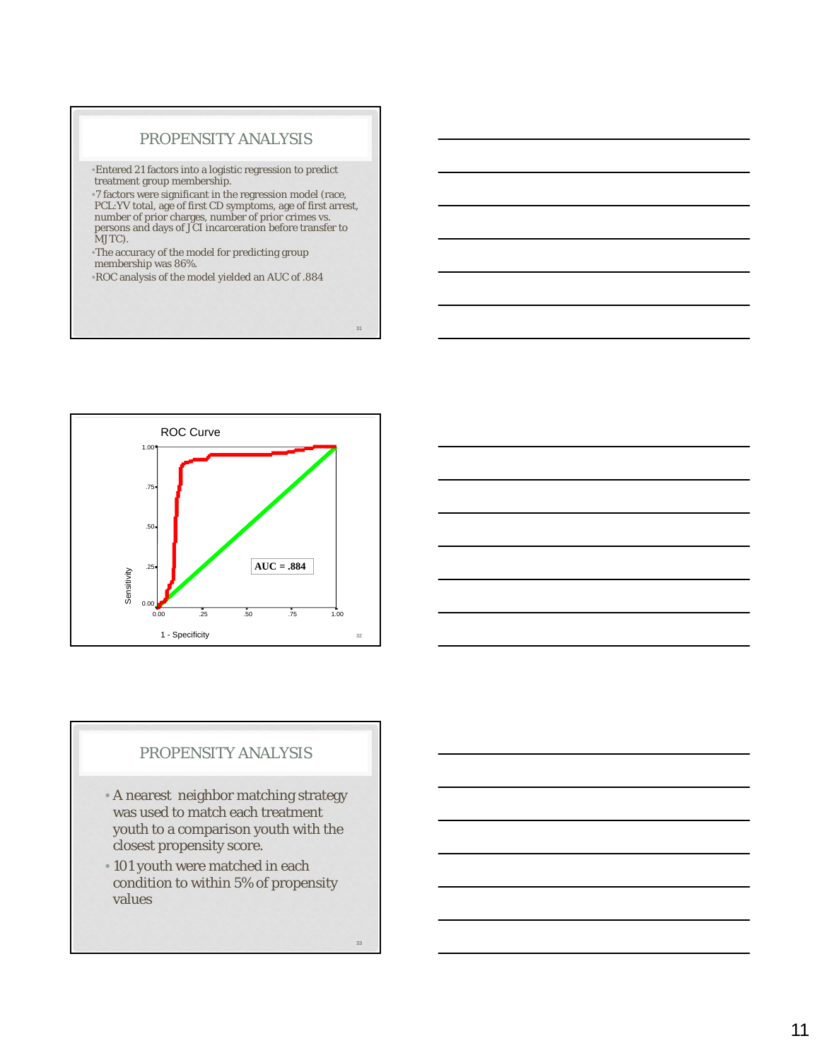#### PROPENSITY ANALYSIS

•Entered 21 factors into a logistic regression to predict treatment group membership.

•7 factors were significant in the regression model (race, PCL:YV total, age of first CD symptoms, age of first arrest, number of prior charges, number of prior crimes vs. persons and days of JCI incarceration before transfer to MJTC).

•The accuracy of the model for predicting group membership was 86%.

•ROC analysis of the model yielded an AUC of .884



## PROPENSITY ANALYSIS

- A nearest neighbor matching strategy was used to match each treatment youth to a comparison youth with the closest propensity score.
- 101 youth were matched in each condition to within 5% of propensity values

33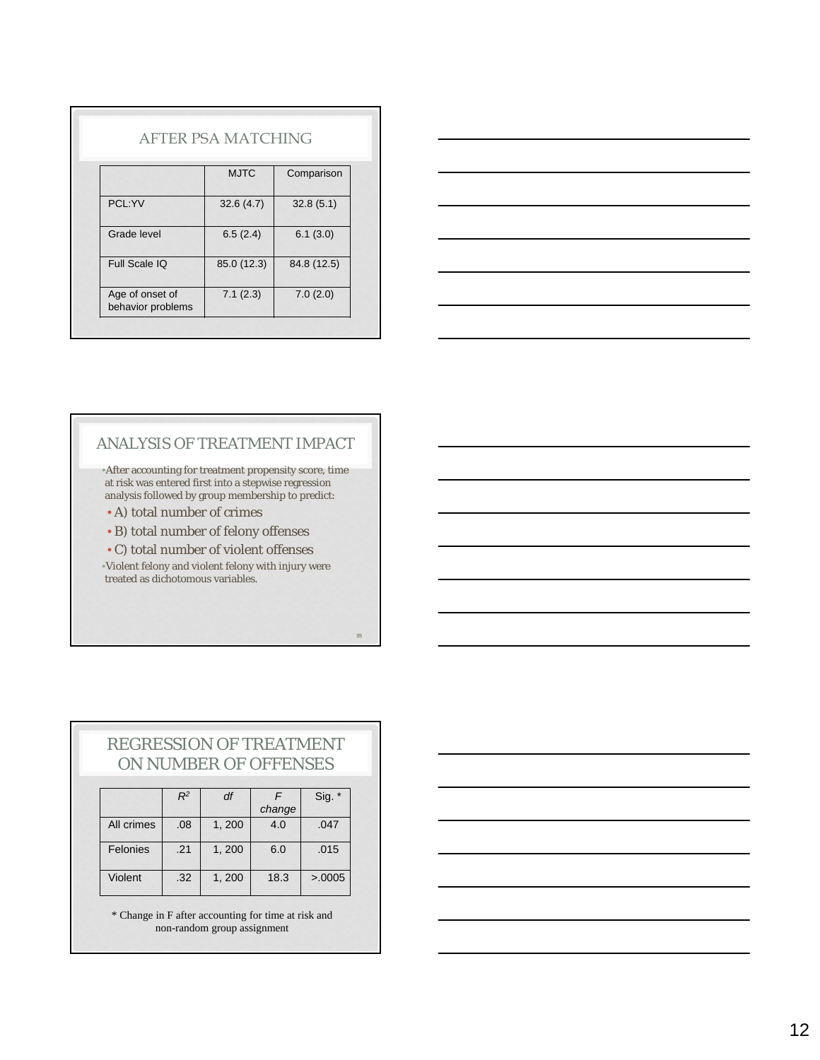|                                      | AFTER PSA MATCHING |             |
|--------------------------------------|--------------------|-------------|
|                                      | <b>MJTC</b>        | Comparison  |
| PCL:YV                               | 32.6(4.7)          | 32.8(5.1)   |
| Grade level                          | 6.5(2.4)           | 6.1(3.0)    |
| Full Scale IQ                        | 85.0 (12.3)        | 84.8 (12.5) |
| Age of onset of<br>behavior problems | 7.1(2.3)           | 7.0(2.0)    |



### ANALYSIS OF TREATMENT IMPACT

•After accounting for treatment propensity score, time at risk was entered first into a stepwise regression analysis followed by group membership to predict:

• A) total number of crimes

• B) total number of felony offenses

• C) total number of violent offenses •Violent felony and violent felony with injury were treated as dichotomous variables.

35

|  | <b>REGRESSION OF TREATMENT</b> |  |
|--|--------------------------------|--|
|  | ON NUMBER OF OFFENSES          |  |

|            | $R^2$ | df     |        | $Sig.$ * |
|------------|-------|--------|--------|----------|
|            |       |        | change |          |
| All crimes | .08   | 1, 200 | 4.0    | .047     |
| Felonies   | .21   | 1,200  | 6.0    | .015     |
| Violent    | .32   | 1,200  | 18.3   | >0.0005  |

\* Change in F after accounting for time at risk and non-random group assignment

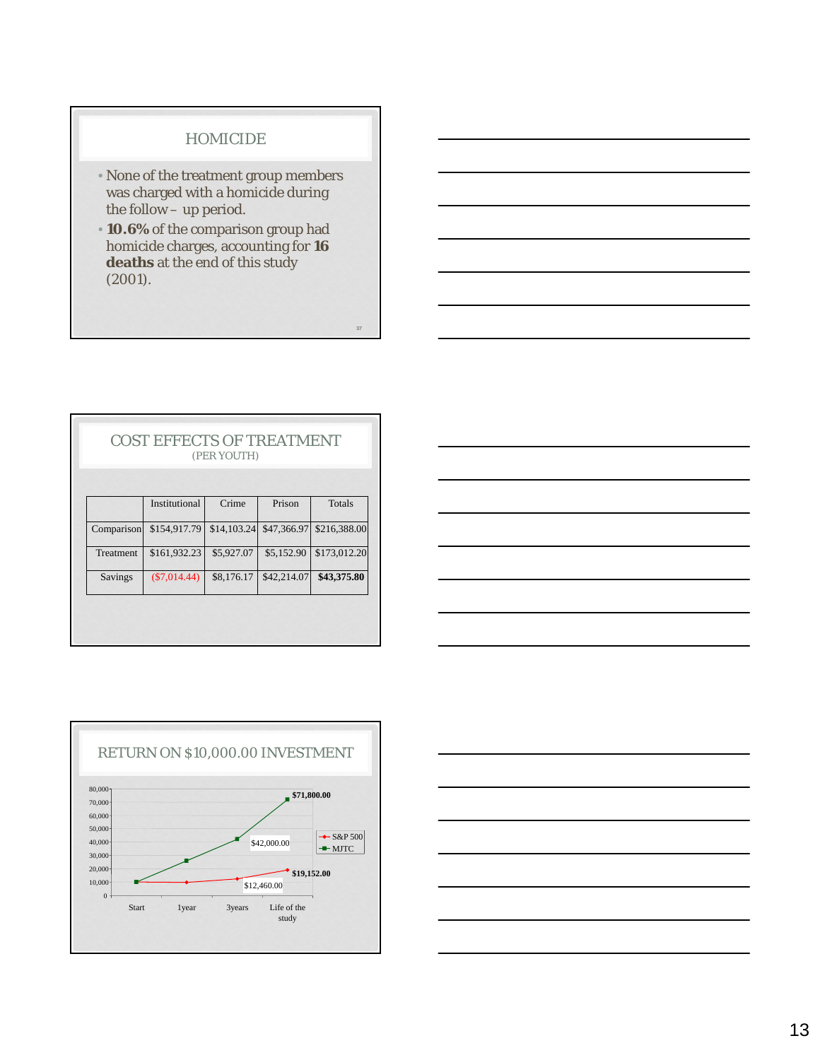#### HOMICIDE

- None of the treatment group members was charged with a homicide during the follow – up period.
- **10.6%** of the comparison group had homicide charges, accounting for **16 deaths** at the end of this study (2001).

|            | <b>COST EFFECTS OF TREATMENT</b> | (PER YOUTH) |             |              |
|------------|----------------------------------|-------------|-------------|--------------|
|            | Institutional                    | Crime       | Prison      | Totals       |
| Comparison | \$154,917.79                     | \$14,103.24 | \$47,366.97 | \$216,388.00 |
| Treatment  | \$161,932.23                     | \$5,927.07  | \$5,152.90  | \$173,012.20 |
| Savings    | $(\$7,014.44)$                   | \$8,176.17  | \$42,214.07 | \$43,375.80  |





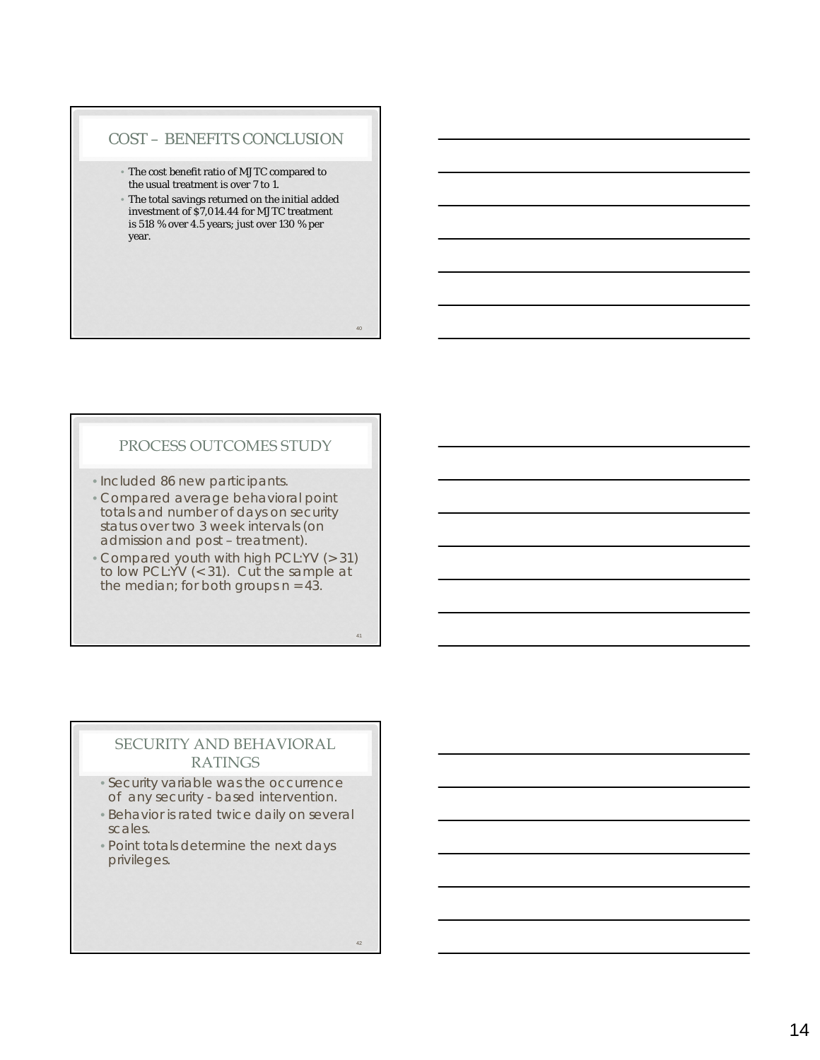#### COST – BENEFITS CONCLUSION

- The cost benefit ratio of MJTC compared to the usual treatment is over 7 to 1.
- The total savings returned on the initial added investment of \$7,014.44 for MJTC treatment is 518 % over 4.5 years; just over 130 % per year.

#### PROCESS OUTCOMES STUDY

- Included 86 new participants.
- Compared average behavioral point totals and number of days on security status over two 3 week intervals (on admission and post – treatment).
- Compared youth with high PCL:YV (> 31) to low PCL:YV (< 31). Cut the sample at the median; for both groups  $n = 43$ .

#### 41

 $40$ 

## SECURITY AND BEHAVIORAL RATINGS

- Security variable was the occurrence of any security - based intervention.
- Behavior is rated twice daily on several scales.
- Point totals determine the next days privileges.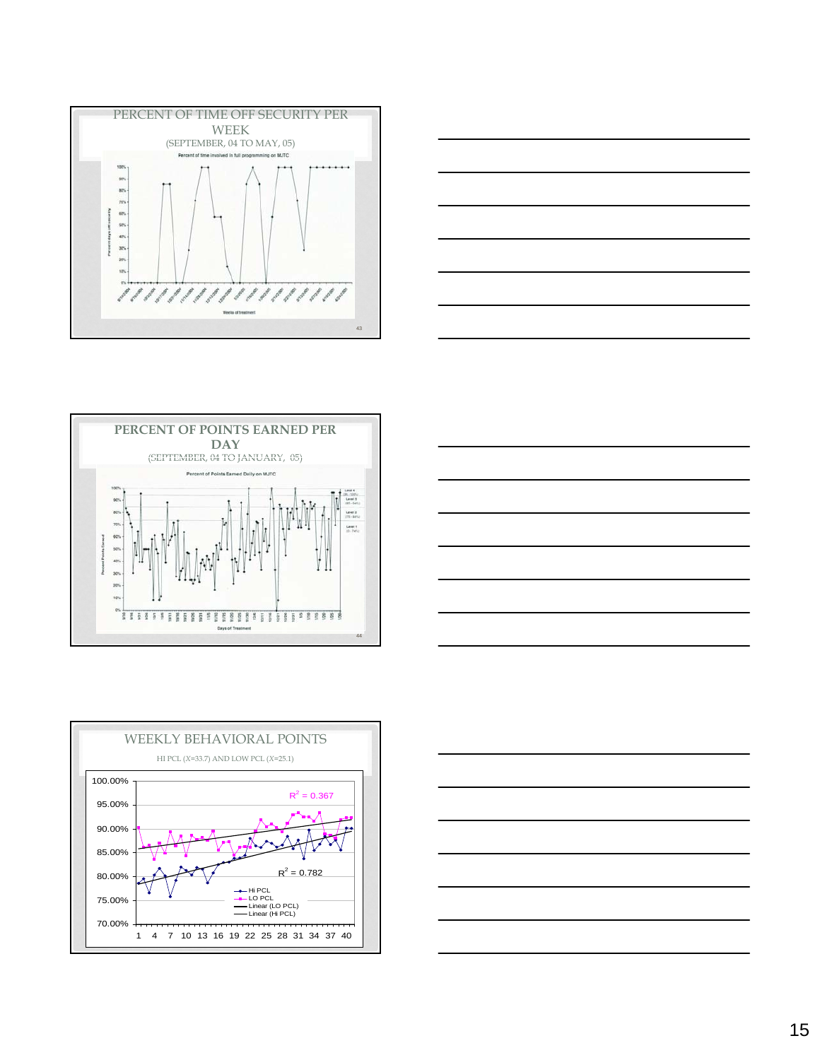









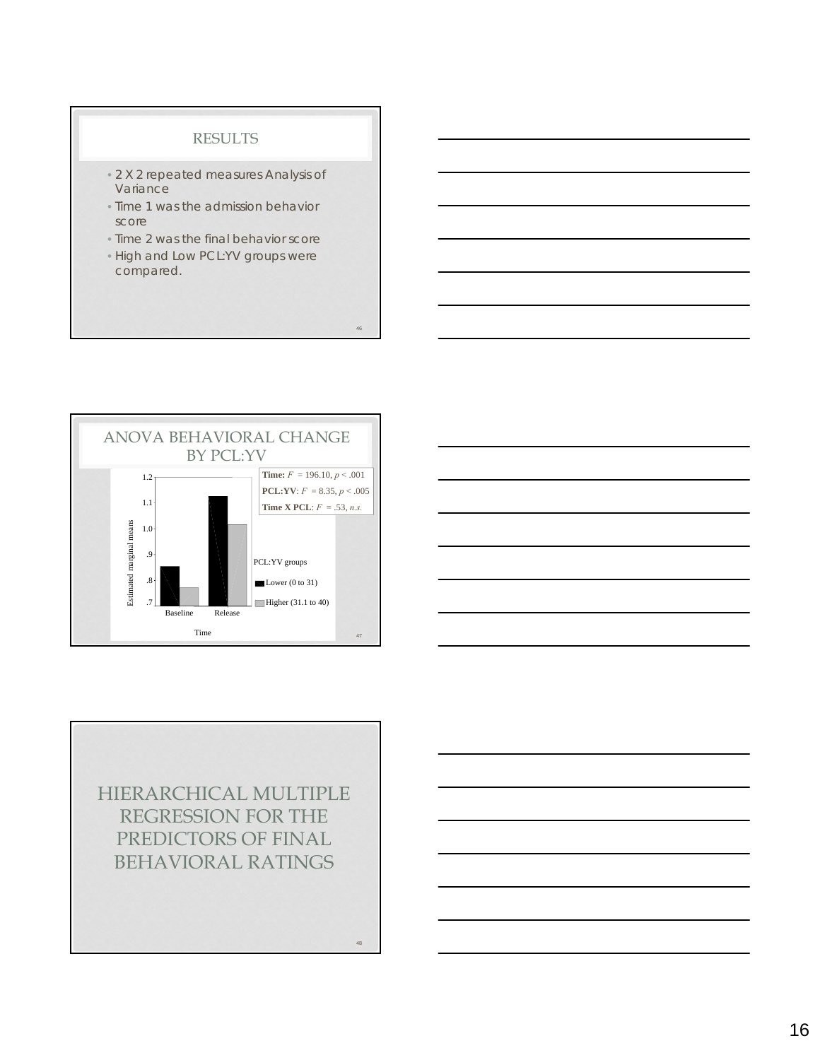#### RESULTS

- 2 X 2 repeated measures Analysis of Variance
- Time 1 was the admission behavior score
- Time 2 was the final behavior score
- High and Low PCL:YV groups were compared.

46

48





HIERARCHICAL MULTIPLE REGRESSION FOR THE PREDICTORS OF FINAL BEHAVIORAL RATINGS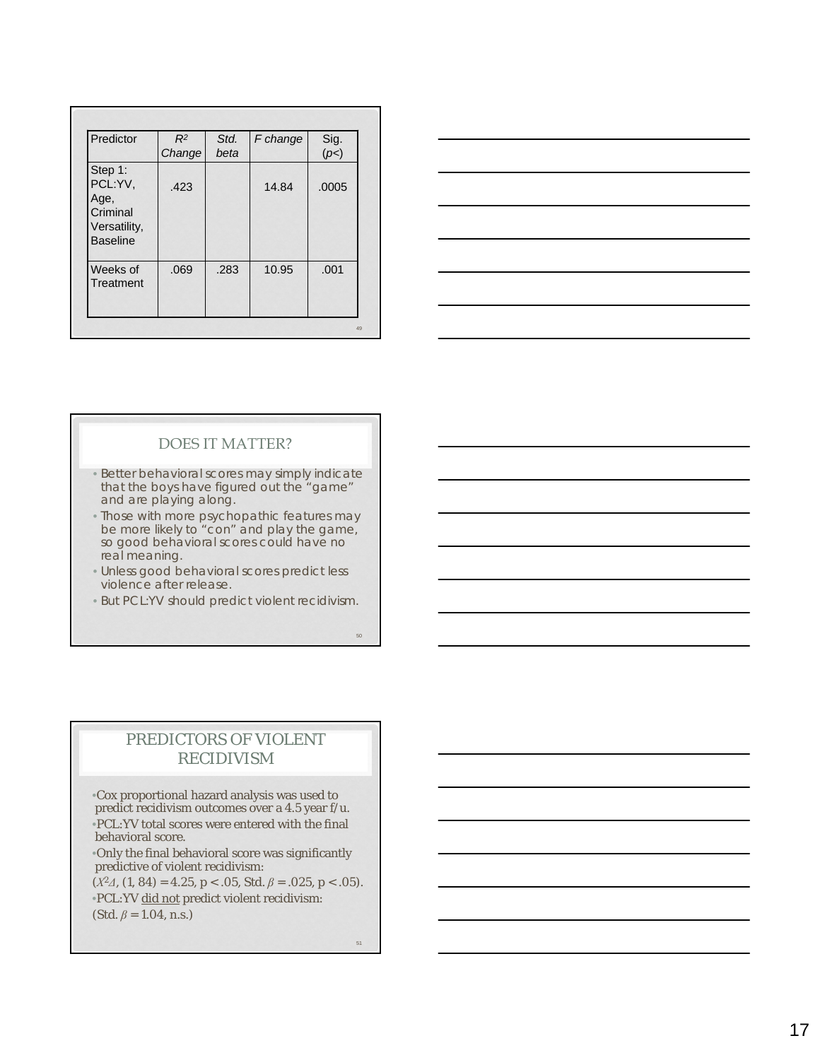| Predictor                                                                 | $R^2$<br>Change | Std.<br>beta | F change | Sig.<br>(p<) |
|---------------------------------------------------------------------------|-----------------|--------------|----------|--------------|
| Step 1:<br>PCL:YV,<br>Age,<br>Criminal<br>Versatility,<br><b>Baseline</b> | .423            |              | 14.84    | .0005        |
| Weeks of<br>Treatment                                                     | .069            | .283         | 10.95    | .001         |

| <u> 1989 - Andrea Andrew Maria (h. 1989).</u>                                                                         | ______ |
|-----------------------------------------------------------------------------------------------------------------------|--------|
|                                                                                                                       |        |
|                                                                                                                       |        |
| <u> 1989 - Johann Stoff, deutscher Stoffen und der Stoffen und der Stoffen und der Stoffen und der Stoffen und de</u> |        |
|                                                                                                                       |        |
|                                                                                                                       |        |
|                                                                                                                       |        |
|                                                                                                                       |        |
|                                                                                                                       |        |
|                                                                                                                       |        |
|                                                                                                                       |        |
|                                                                                                                       |        |

### DOES IT MATTER?

- Better behavioral scores may simply indicate that the boys have figured out the "game" and are playing along.
- Those with more psychopathic features may be more likely to "con" and play the game, so good behavioral scores could have no real meaning.
- Unless good behavioral scores predict less violence after release.
- But PCL:YV should predict violent recidivism.

## PREDICTORS OF VIOLENT RECIDIVISM

•Cox proportional hazard analysis was used to predict recidivism outcomes over a 4.5 year f/u. •PCL:YV total scores were entered with the final behavioral score.

•Only the final behavioral score was significantly predictive of violent recidivism: (*Χ<sup>2</sup>Δ,* (1, 84) = 4.25, *<sup>p</sup>* < .05, Std. *β* = .025, *p* < .05).

•PCL:YV did not predict violent recidivism: (Std. *β* = 1.04, *n.s.)*

51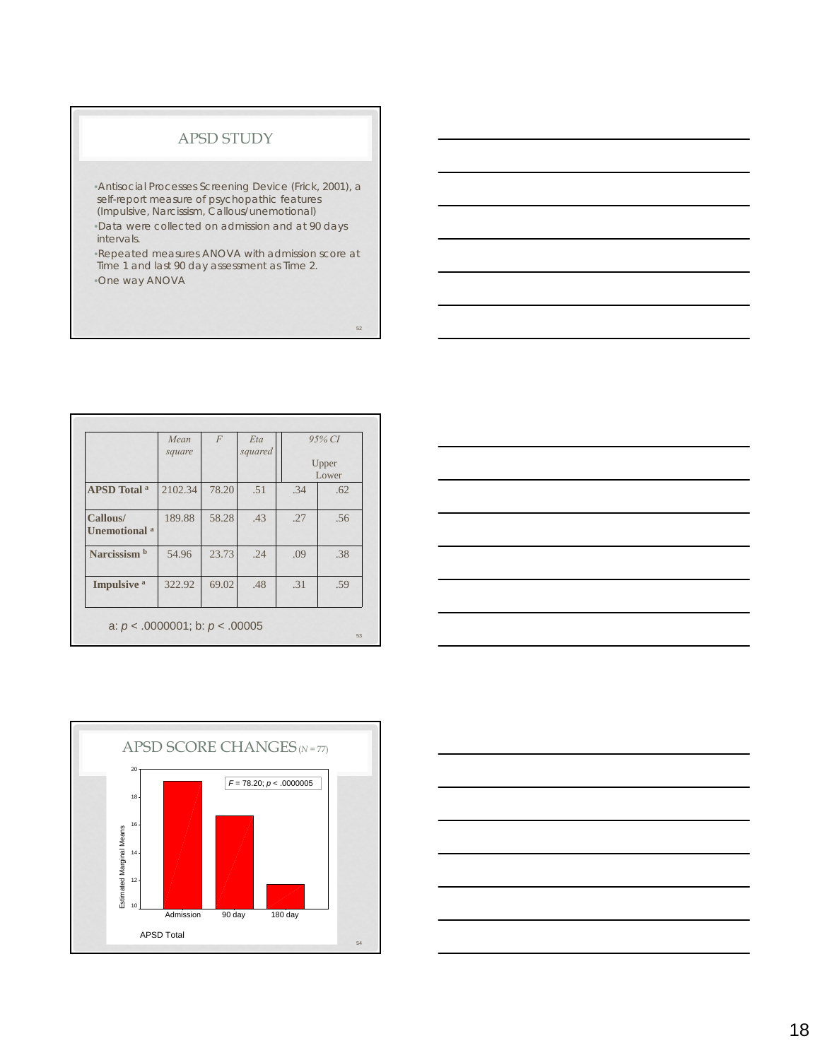#### APSD STUDY

•Antisocial Processes Screening Device (Frick, 2001), a self-report measure of psychopathic features (Impulsive, Narcissism, Callous/unemotional) •Data were collected on admission and at 90 days intervals.

•Repeated measures ANOVA with admission score at Time 1 and last 90 day assessment as Time 2. •One way ANOVA

| 2102.34<br>189.88 | 78.20<br>58.28 | .51<br>.43 | .34<br>.27                          | .62<br>.56 |
|-------------------|----------------|------------|-------------------------------------|------------|
|                   |                |            |                                     |            |
|                   |                |            |                                     |            |
| 54.96             | 23.73          | .24        | .09                                 | .38        |
| 322.92            | 69.02          | .48        | .31                                 | .59        |
|                   |                |            | a: $p < .0000001$ ; b: $p < .00005$ |            |





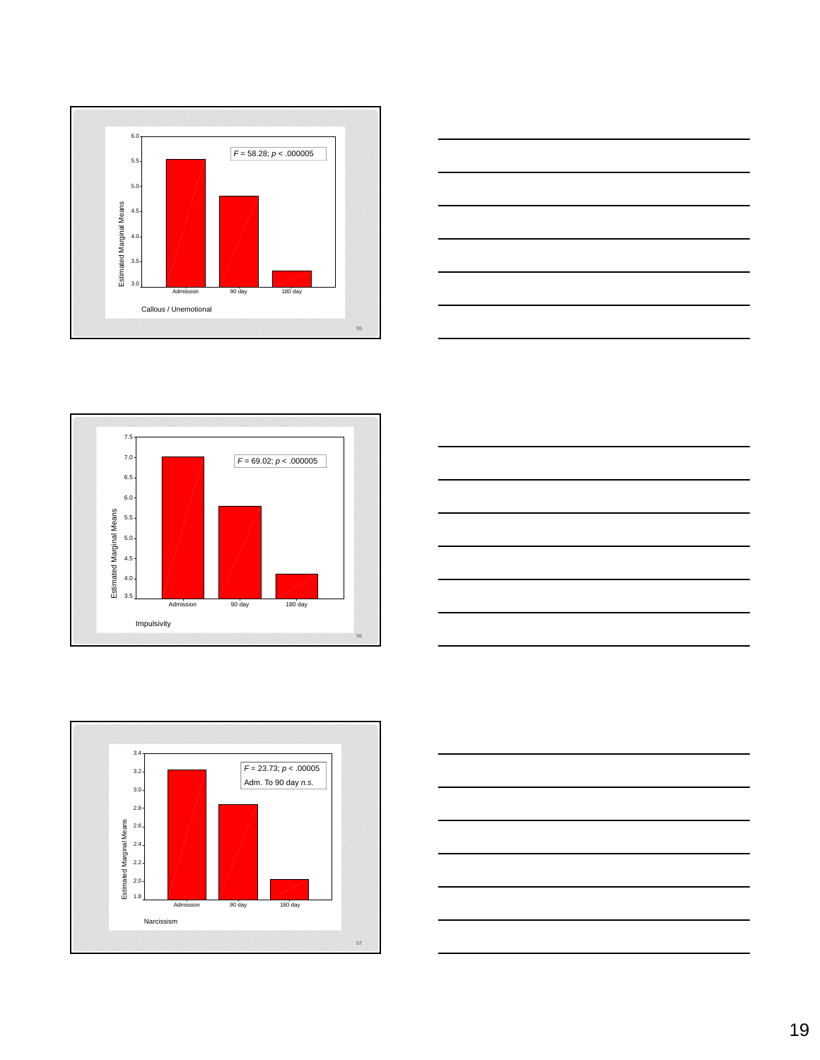









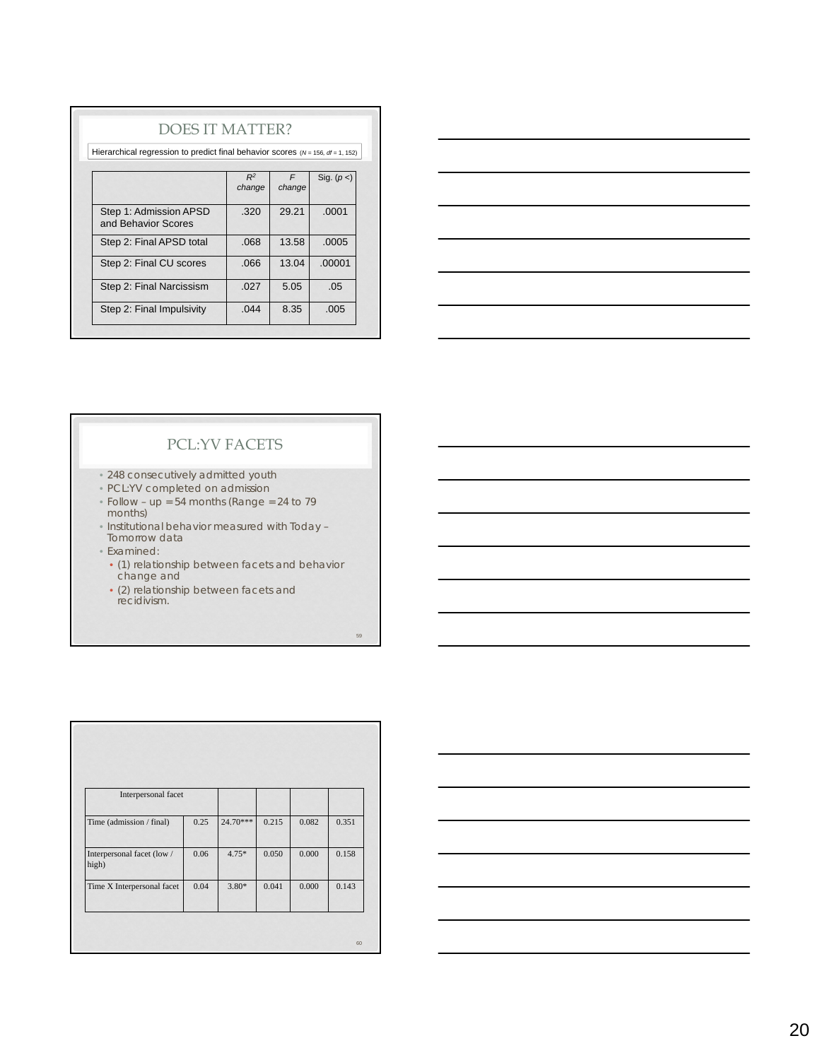| <b>DOES IT MATTER?</b>                                                                 |                 |             |             |  |  |  |  |
|----------------------------------------------------------------------------------------|-----------------|-------------|-------------|--|--|--|--|
| Hierarchical regression to predict final behavior scores ( $N = 156$ , $df = 1$ , 152) |                 |             |             |  |  |  |  |
|                                                                                        | $R^2$<br>change | F<br>change | Sig. $(p<)$ |  |  |  |  |
| Step 1: Admission APSD<br>and Behavior Scores                                          | .320            | 29.21       | .0001       |  |  |  |  |
| Step 2: Final APSD total                                                               | .068            | 13.58       | .0005       |  |  |  |  |
| Step 2: Final CU scores                                                                | .066            | 13.04       | .00001      |  |  |  |  |
| Step 2: Final Narcissism                                                               | .027            | 5.05        | .05         |  |  |  |  |
| Step 2: Final Impulsivity                                                              | .044            | 8.35        | .005        |  |  |  |  |



## PCL:YV FACETS

- 248 consecutively admitted youth
- PCL:YV completed on admission
- Follow up = 54 months (*Range* = 24 to 79 months)
- Institutional behavior measured with Today Tomorrow data
- Examined:
- (1) relationship between facets and behavior change and

59

• (2) relationship between facets and recidivism.

| Interpersonal facet                 |      |          |       |       |       |
|-------------------------------------|------|----------|-------|-------|-------|
| Time (admission / final)            | 0.25 | 24.70*** | 0.215 | 0.082 | 0.351 |
| Interpersonal facet (low /<br>high) | 0.06 | $4.75*$  | 0.050 | 0.000 | 0.158 |
| Time X Interpersonal facet          | 0.04 | $3.80*$  | 0.041 | 0.000 | 0.143 |
|                                     |      |          |       |       |       |
|                                     |      |          |       |       | 60    |

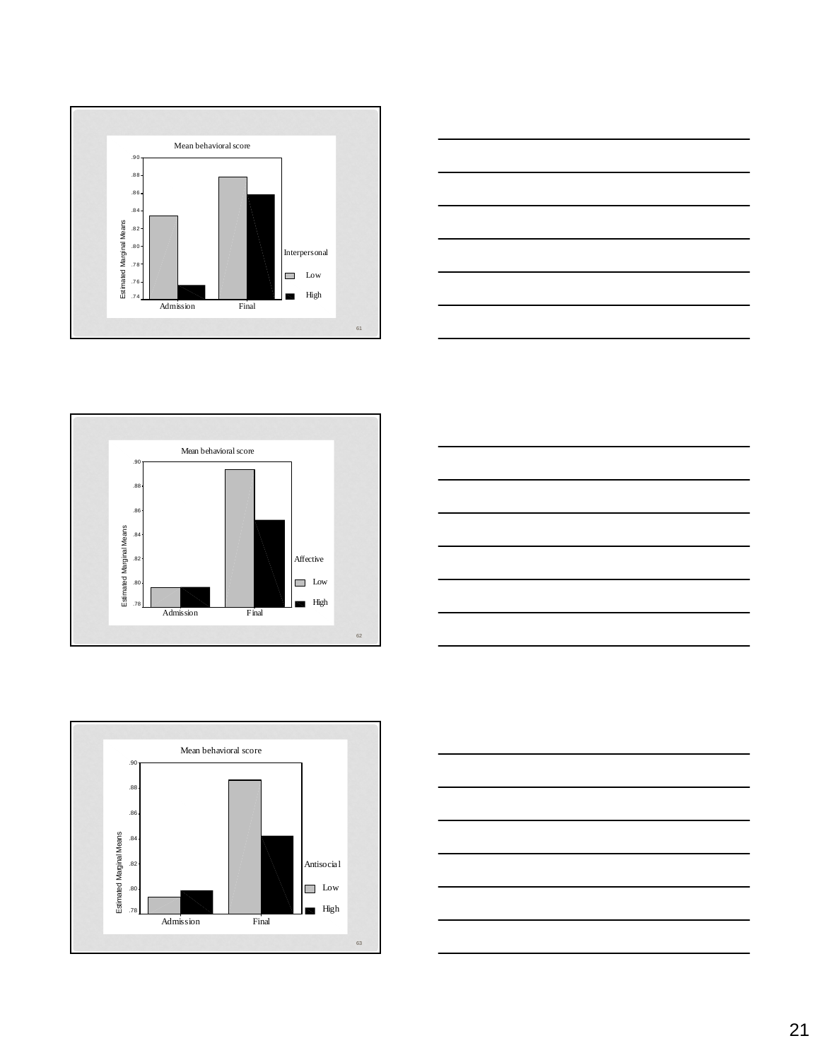









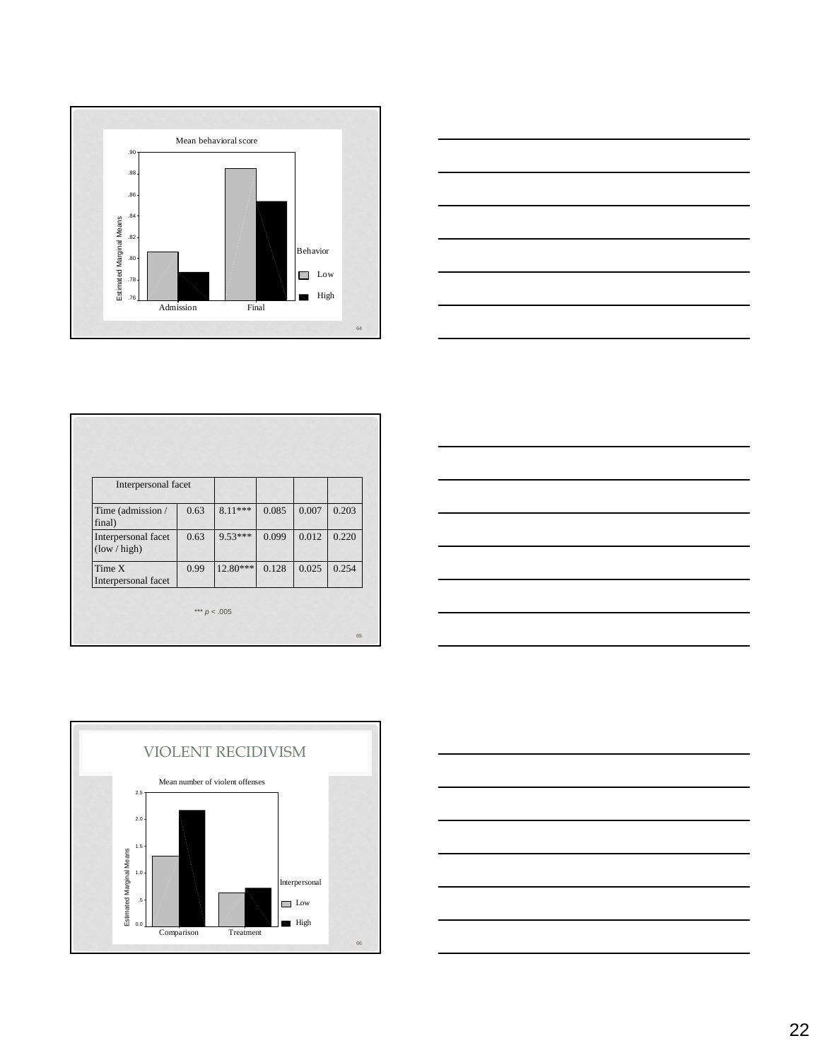



| Interpersonal facet                 |      |            |       |       |       |
|-------------------------------------|------|------------|-------|-------|-------|
| Time (admission /<br>final)         | 0.63 | $8.11***$  | 0.085 | 0.007 | 0.203 |
| Interpersonal facet<br>(low / high) | 0.63 | 9.53***    | 0.099 | 0.012 | 0.220 |
| Time X<br>Interpersonal facet       | 0.99 | $12.80***$ | 0.128 | 0.025 | 0.254 |





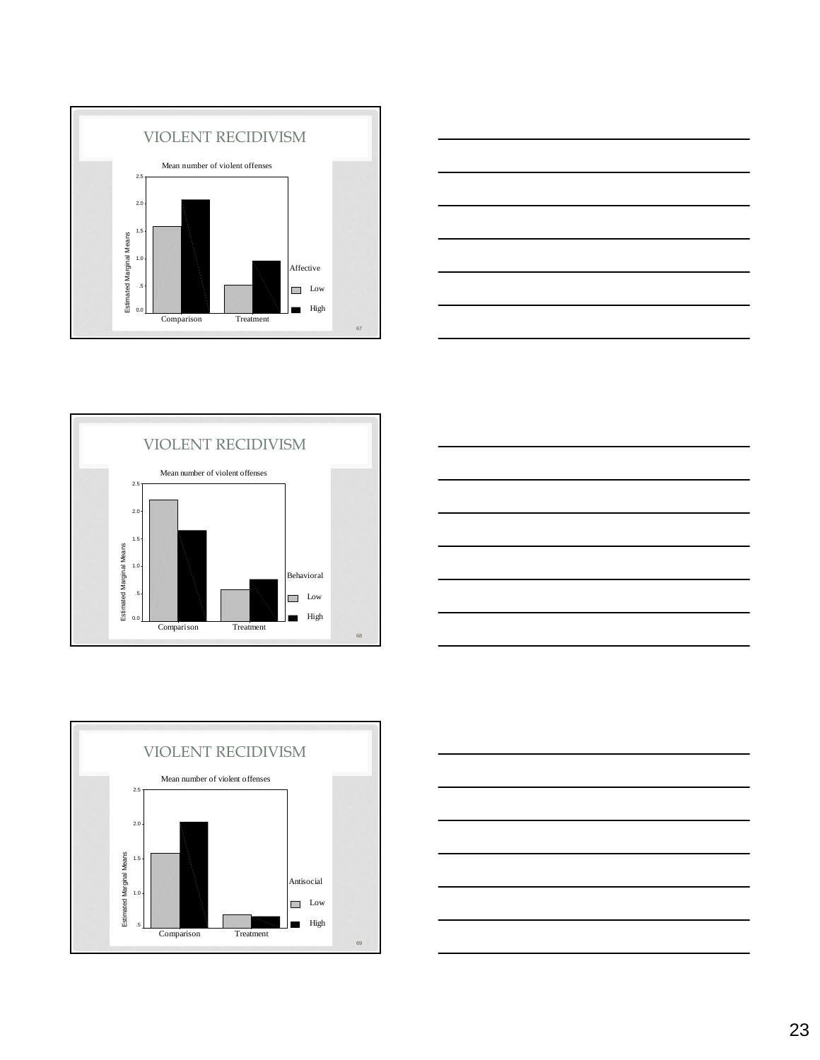









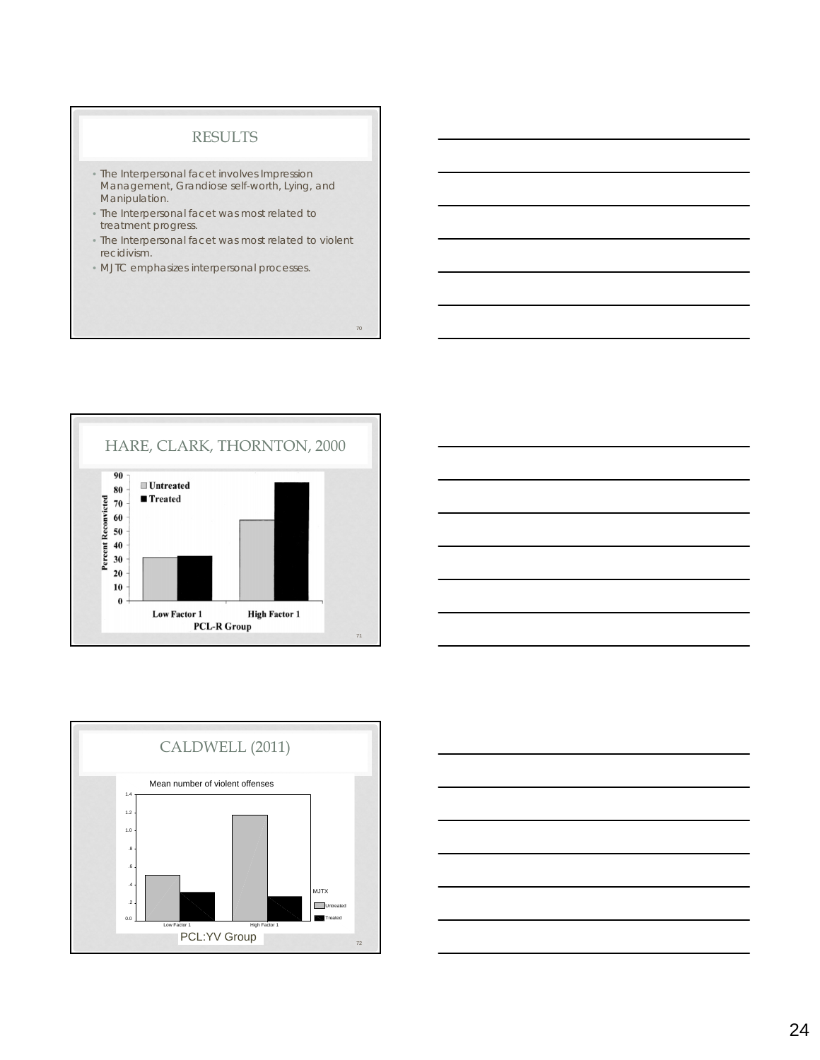#### RESULTS

- The Interpersonal facet involves Impression Management, Grandiose self-worth, Lying, and Manipulation.
- The Interpersonal facet was most related to treatment progress.
- The Interpersonal facet was most related to violent recidivism.

70

• MJTC emphasizes interpersonal processes.







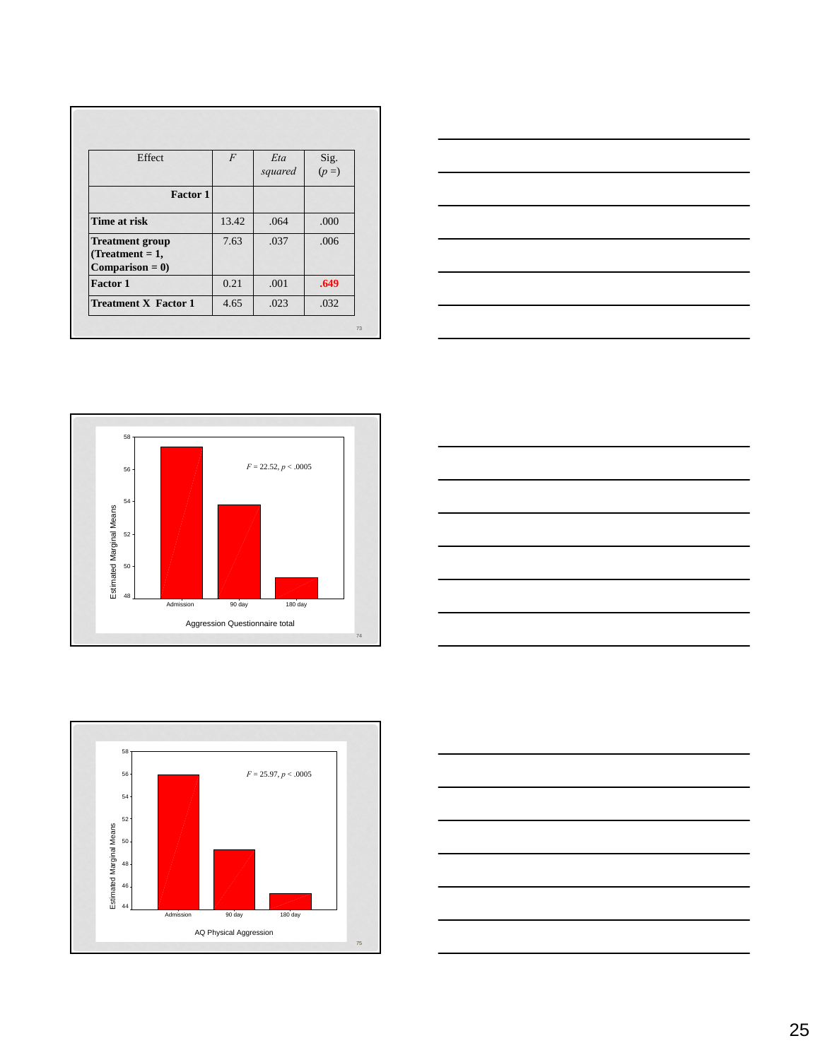| Effect                      | $\overline{F}$ | Eta     |                 |
|-----------------------------|----------------|---------|-----------------|
|                             |                | squared | Sig.<br>$(p =)$ |
| Factor 1                    |                |         |                 |
| Time at risk                | 13.42          | .064    | .000            |
| <b>Treatment group</b>      | 7.63           | .037    | .006            |
| $(Treatment = 1,$           |                |         |                 |
| $Comparison = 0$            |                |         |                 |
| <b>Factor 1</b>             | 0.21           | .001    | .649            |
| <b>Treatment X Factor 1</b> | 4.65           | .023    | .032            |









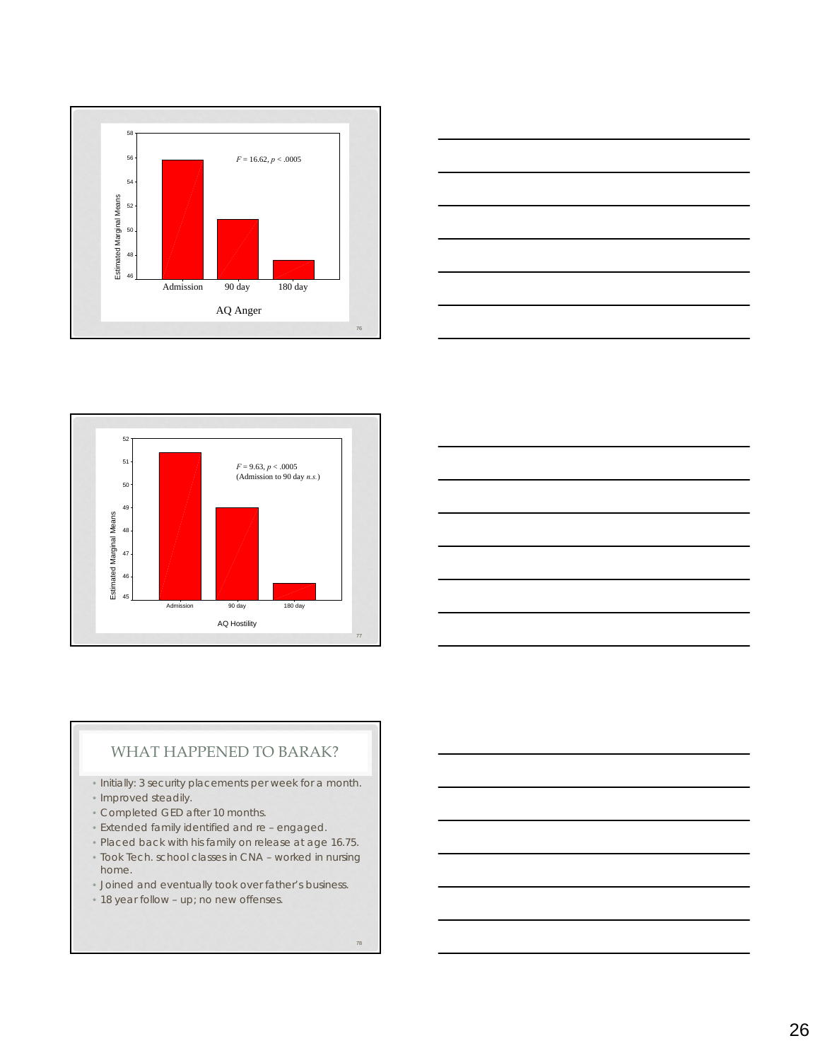







## WHAT HAPPENED TO BARAK?

- Initially: 3 security placements per week for a month.
- Improved steadily.
- Completed GED after 10 months.
- Extended family identified and re engaged.
- Placed back with his family on release at age 16.75.
- Took Tech. school classes in CNA worked in nursing home.
- Joined and eventually took over father's business.
- 18 year follow up; no new offenses.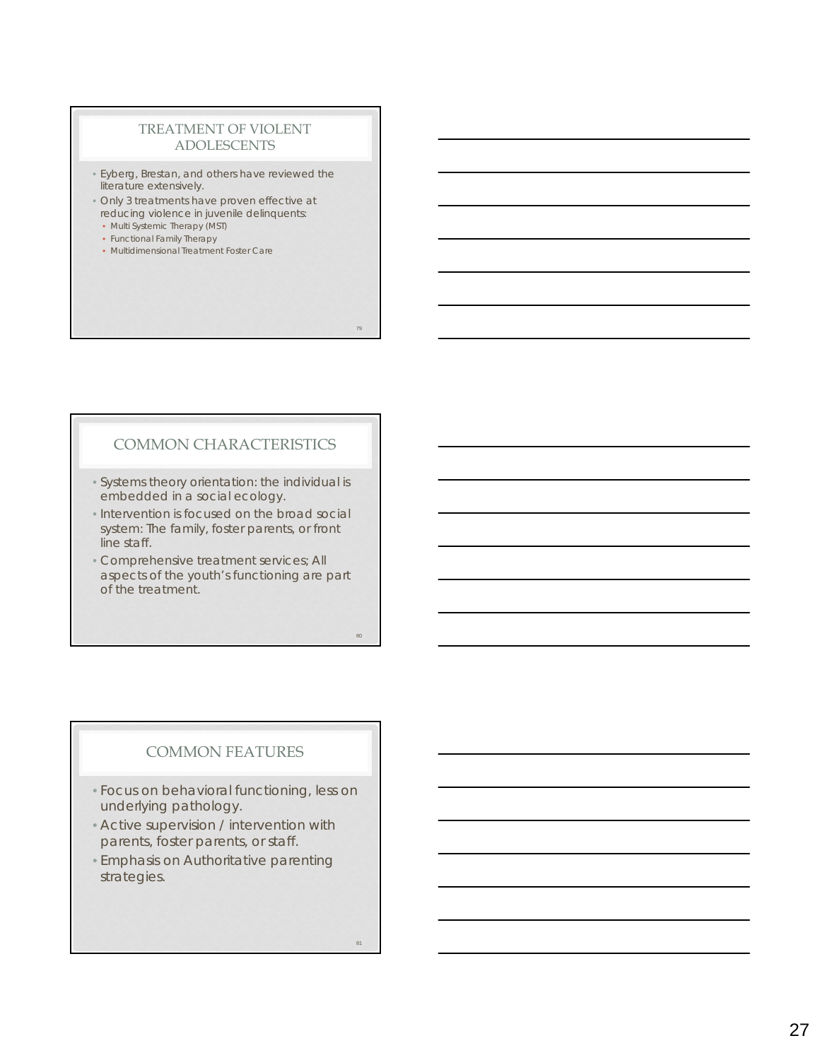## TREATMENT OF VIOLENT ADOLESCENTS

- Eyberg, Brestan, and others have reviewed the literature extensively.
- Only 3 treatments have proven effective at reducing violence in juvenile delinquents:
- Multi Systemic Therapy (MST)
- Functional Family Therapy
- Multidimensional Treatment Foster Care

79

## COMMON CHARACTERISTICS

- Systems theory orientation: the individual is embedded in a social ecology.
- Intervention is focused on the broad social system: The family, foster parents, or front line staff.
- Comprehensive treatment services; All aspects of the youth's functioning are part of the treatment.

## COMMON FEATURES

- Focus on behavioral functioning, less on underlying pathology.
- Active supervision / intervention with parents, foster parents, or staff.
- Emphasis on Authoritative parenting strategies.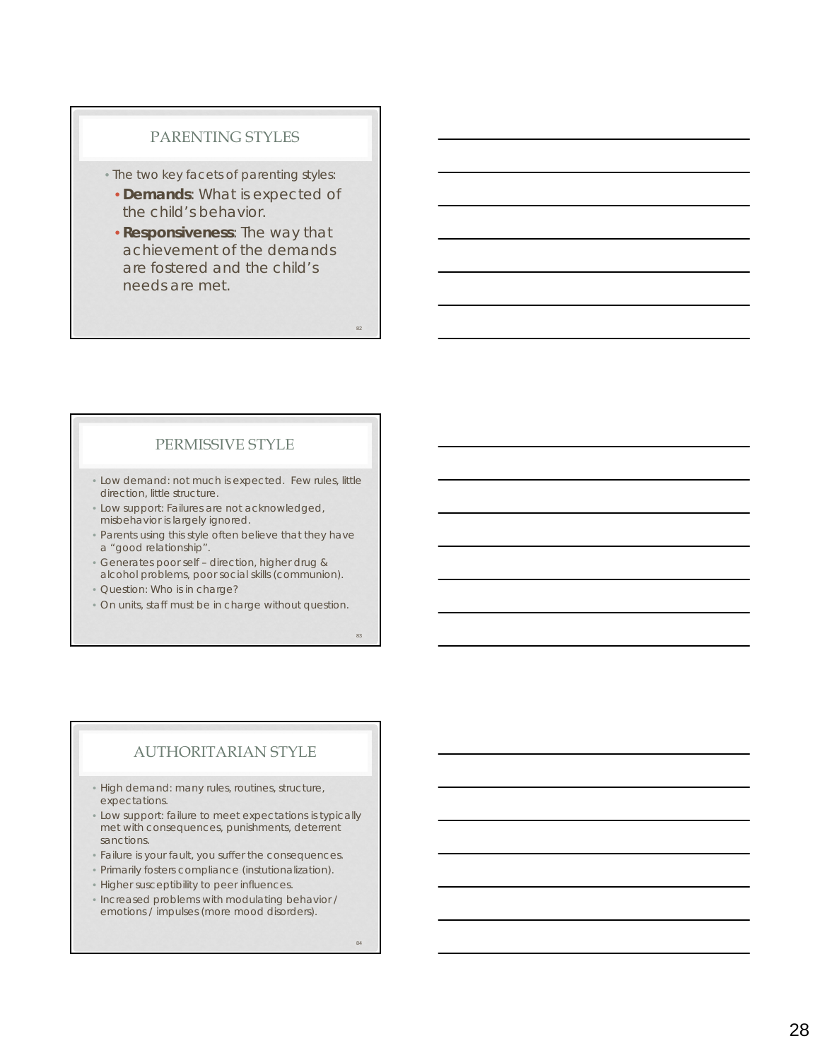#### PARENTING STYLES

• The two key facets of parenting styles:

- **Demands**: What is expected of the child's behavior.
- **Responsiveness**: The way that achievement of the demands are fostered and the child's needs are met.

#### PERMISSIVE STYLE

- Low demand: not much is expected. Few rules, little direction, little structure.
- Low support: Failures are not acknowledged, misbehavior is largely ignored.
- Parents using this style often believe that they have a "good relationship".
- Generates poor self direction, higher drug & alcohol problems, poor social skills (communion).
- Question: Who is in charge?
- On units, staff must be in charge without question.

83

82

## AUTHORITARIAN STYLE

• High demand: many rules, routines, structure, expectations.

- Low support: failure to meet expectations is typically met with consequences, punishments, deterrent sanctions.
- Failure is your fault, you suffer the consequences.
- Primarily fosters compliance (instutionalization).
- Higher susceptibility to peer influences.
- Increased problems with modulating behavior / emotions / impulses (more mood disorders).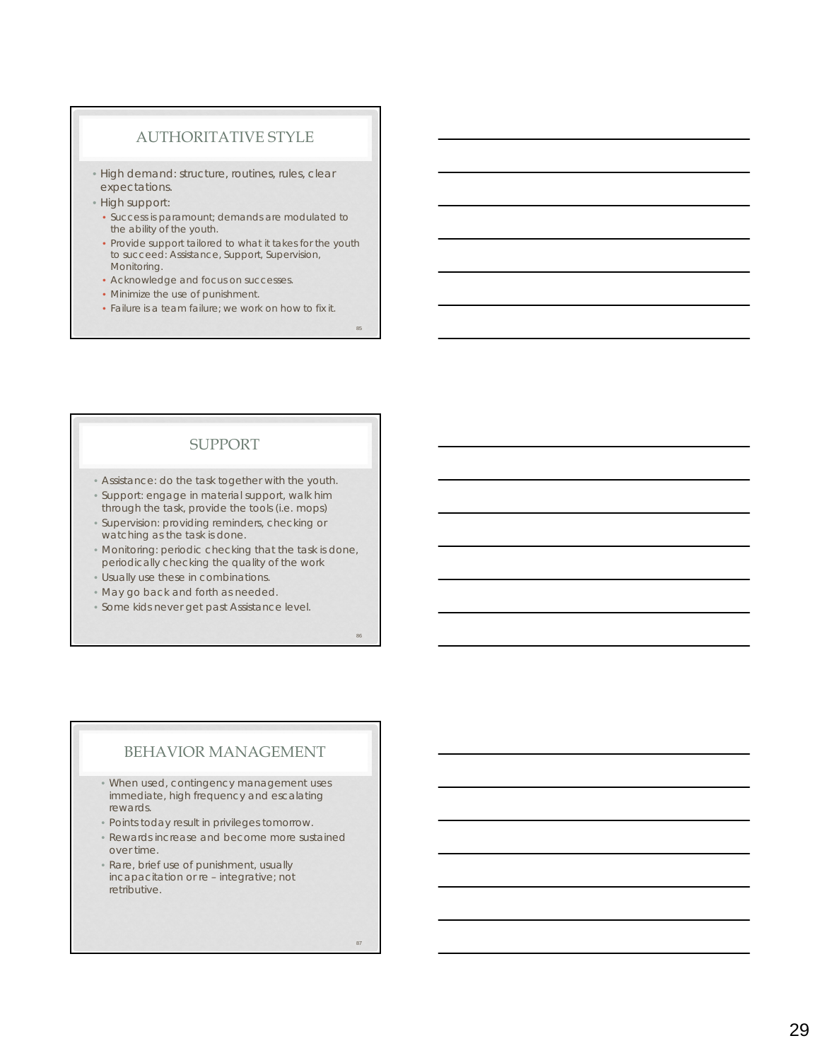#### AUTHORITATIVE STYLE

- High demand: structure, routines, rules, clear expectations.
- High support:
- Success is paramount; demands are modulated to the ability of the youth.
- Provide support tailored to what it takes for the youth to succeed: Assistance, Support, Supervision, Monitoring.
- Acknowledge and focus on successes.
- Minimize the use of punishment.
- Failure is a team failure; we work on how to fix it.

#### SUPPORT

- Assistance: do the task together with the youth.
- Support: engage in material support, walk him through the task, provide the tools (i.e. mops)
- Supervision: providing reminders, checking or watching as the task is done.
- Monitoring: periodic checking that the task is done, periodically checking the quality of the work
- Usually use these in combinations.
- May go back and forth as needed.
- Some kids never get past Assistance level.

## BEHAVIOR MANAGEMENT

- When used, contingency management uses immediate, high frequency and escalating rewards.
- Points today result in privileges tomorrow.
- Rewards increase and become more sustained over time.
- Rare, brief use of punishment, usually incapacitation or re – integrative; not retributive.

85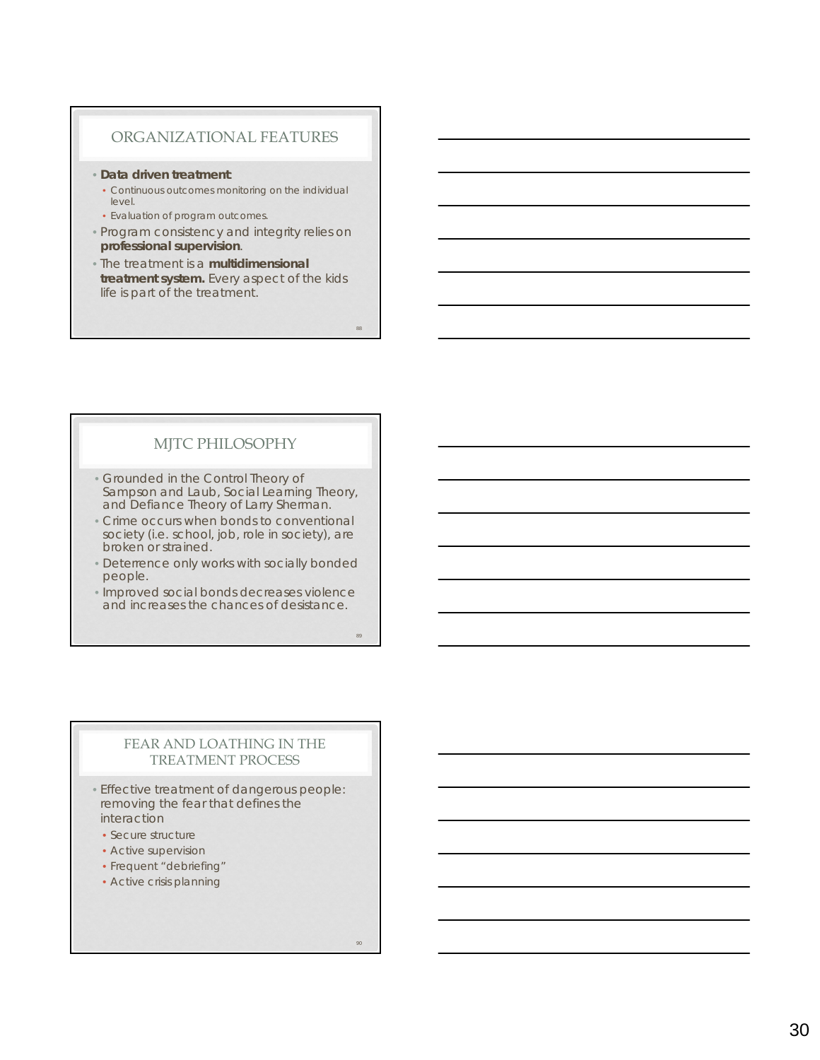#### ORGANIZATIONAL FEATURES

#### • **Data driven treatment**:

- Continuous outcomes monitoring on the individual level.
- Evaluation of program outcomes.
- Program consistency and integrity relies on **professional supervision**.
- The treatment is a **multidimensional treatment system.** Every aspect of the kids life is part of the treatment.

## MJTC PHILOSOPHY

- Grounded in the Control Theory of Sampson and Laub, Social Learning Theory, and Defiance Theory of Larry Sherman.
- Crime occurs when bonds to conventional society (i.e. school, job, role in society), are broken or strained.
- Deterrence only works with socially bonded people.
- Improved social bonds decreases violence and increases the chances of desistance.

89

88

#### FEAR AND LOATHING IN THE TREATMENT PROCESS

- Effective treatment of dangerous people: removing the fear that defines the interaction
- Secure structure
- Active supervision
- Frequent "debriefing"
- Active crisis planning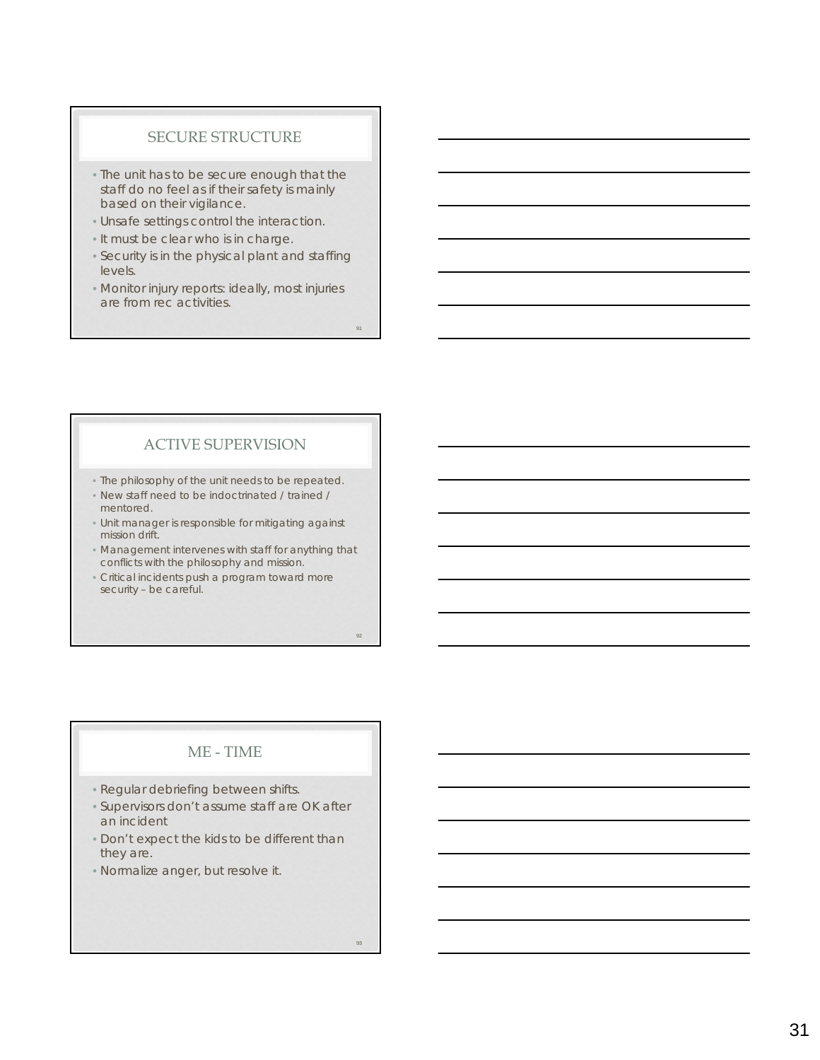#### SECURE STRUCTURE

- The unit has to be secure enough that the staff do no feel as if their safety is mainly based on their vigilance.
- Unsafe settings control the interaction.
- It must be clear who is in charge.
- Security is in the physical plant and staffing levels.
- Monitor injury reports: ideally, most injuries are from rec activities.

## ACTIVE SUPERVISION

- The philosophy of the unit needs to be repeated.
- New staff need to be indoctrinated / trained / mentored.
- Unit manager is responsible for mitigating against mission drift.
- Management intervenes with staff for anything that conflicts with the philosophy and mission.
- Critical incidents push a program toward more security – be careful.

## ME - TIME

- Regular debriefing between shifts.
- Supervisors don't assume staff are OK after an incident
- Don't expect the kids to be different than they are.
- Normalize anger, but resolve it.

91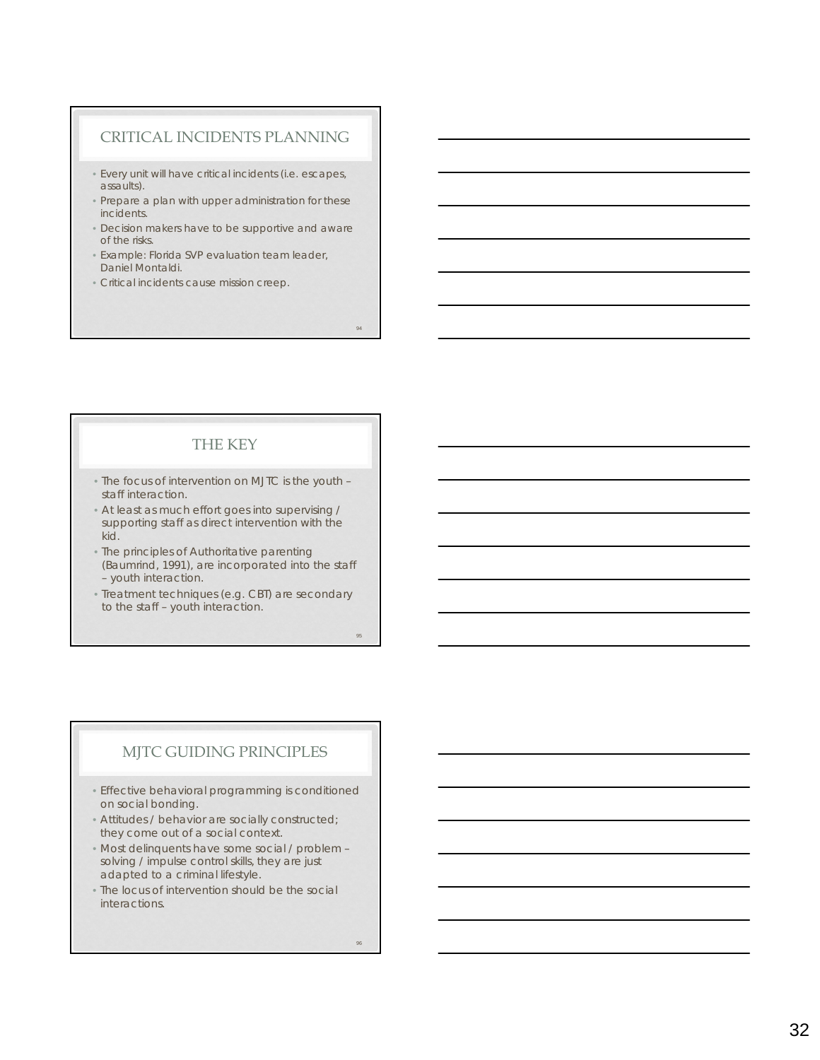#### CRITICAL INCIDENTS PLANNING

- Every unit will have critical incidents (i.e. escapes, assaults).
- Prepare a plan with upper administration for these incidents.
- Decision makers have to be supportive and aware of the risks.
- Example: Florida SVP evaluation team leader, Daniel Montaldi.
- Critical incidents cause mission creep.

## THE KEY

- The focus of intervention on MJTC is the youth staff interaction.
- At least as much effort goes into supervising / supporting staff as direct intervention with the kid.
- The principles of Authoritative parenting (Baumrind, 1991), are incorporated into the staff – youth interaction.
- Treatment techniques (e.g. CBT) are secondary to the staff – youth interaction.

## MJTC GUIDING PRINCIPLES

- Effective behavioral programming is conditioned on social bonding.
- Attitudes / behavior are socially constructed; they come out of a social context.
- Most delinquents have some social / problem solving / impulse control skills, they are just adapted to a criminal lifestyle.
- The locus of intervention should be the social interactions.

 $96$ 

94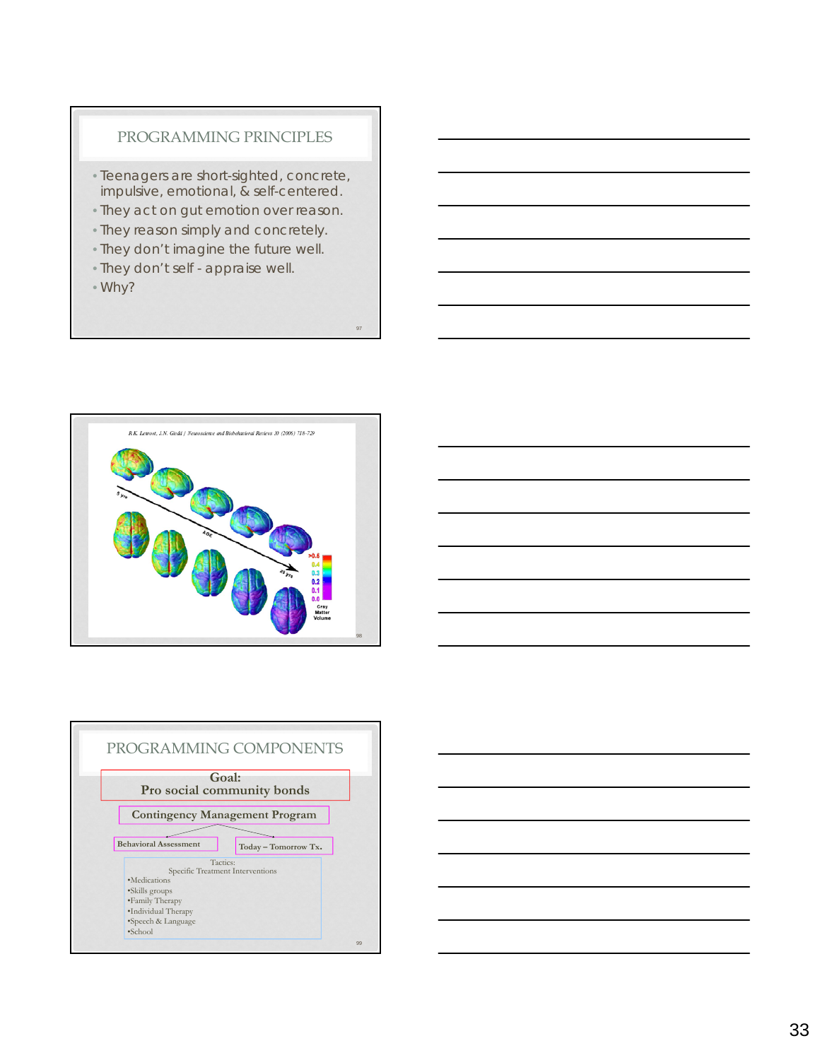#### PROGRAMMING PRINCIPLES

- Teenagers are short-sighted, concrete, impulsive, emotional, & self-centered.
- They act on gut emotion over reason.

- They reason simply and concretely.
- They don't imagine the future well.
- They don't self appraise well.
- Why?







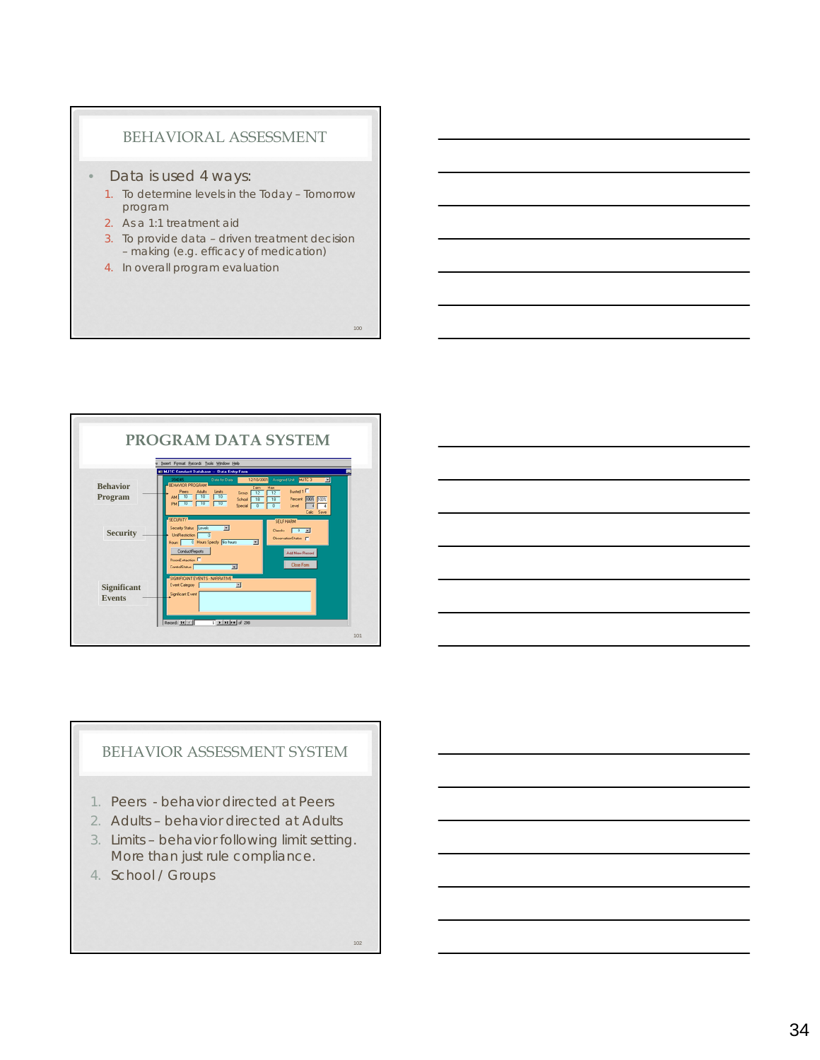#### BEHAVIORAL ASSESSMENT

#### • Data is used 4 ways:

- 1. To determine levels in the Today Tomorrow program
- 2. As a 1:1 treatment aid
- 3. To provide data driven treatment decision – making (e.g. efficacy of medication)
- 4. In overall program evaluation



## BEHAVIOR ASSESSMENT SYSTEM

- 1. Peers behavior directed at Peers
- 2. Adults behavior directed at Adults
- 3. Limits behavior following limit setting. More than just rule compliance.
- 4. School / Groups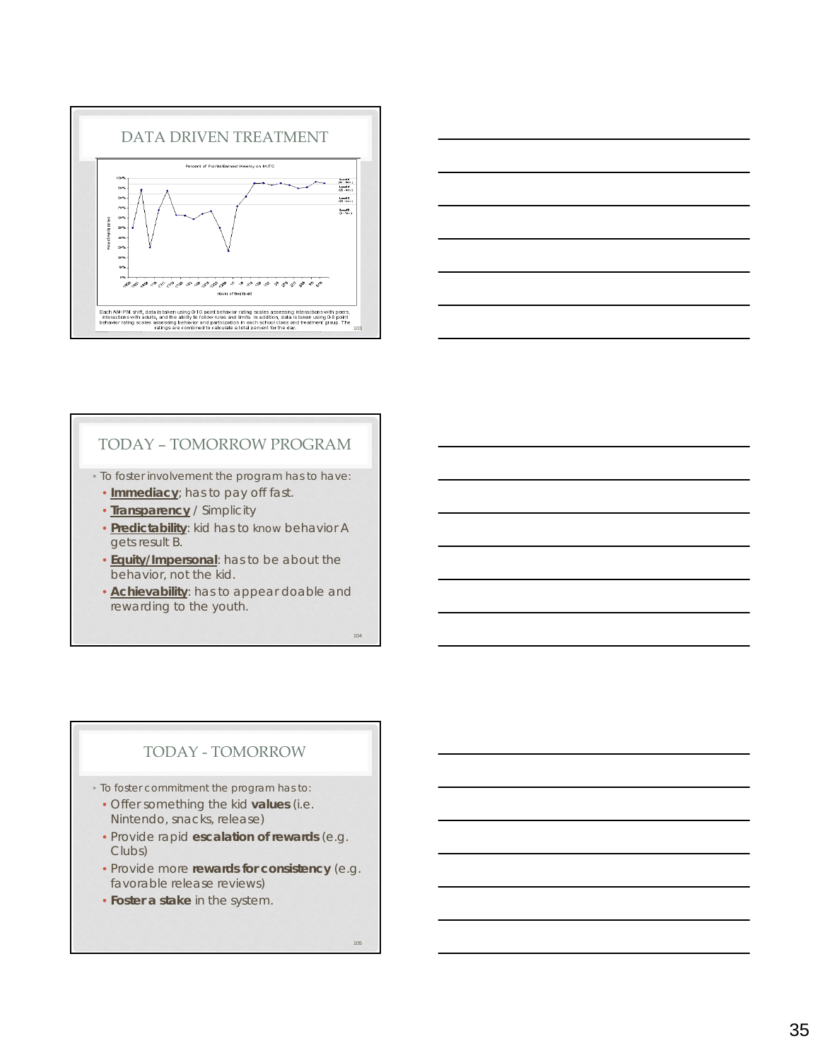



## TODAY – TOMORROW PROGRAM

• To foster involvement the program has to have:

- **Immediacy**; has to pay off fast.
- **Transparency** / Simplicity
- **Predictability**: kid has to know behavior A gets result B.
- **Equity/Impersonal**: has to be about the behavior, not the kid.
- **Achievability**: has to appear doable and rewarding to the youth.

104

## TODAY - TOMORROW

- To foster commitment the program has to:
	- Offer something the kid **values** (i.e. Nintendo, snacks, release)
	- Provide rapid **escalation of rewards** (e.g. Clubs)
	- Provide more **rewards for consistency** (e.g. favorable release reviews)
	- **Foster a stake** in the system.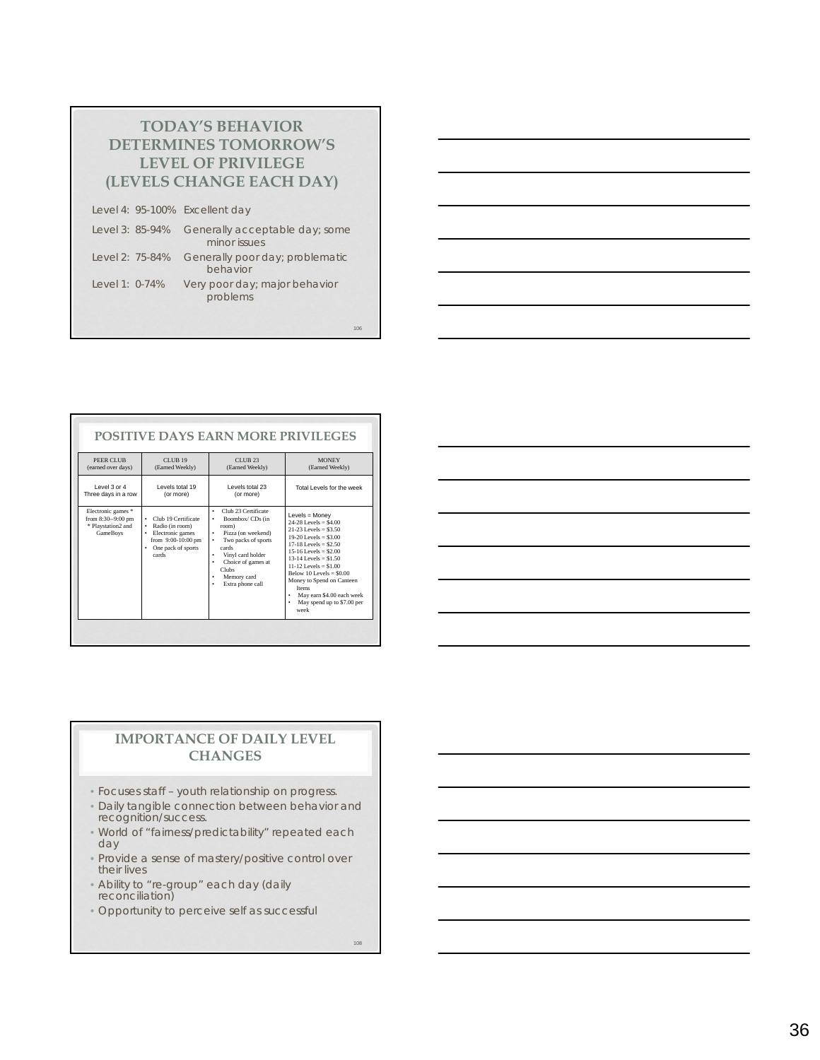| <b>TODAY'S BEHAVIOR</b>        |
|--------------------------------|
| <b>DETERMINES TOMORROW'S</b>   |
| <b>LEVEL OF PRIVILEGE</b>      |
| (LEVELS CHANGE EACH DAY)       |
| Level 4: 95-100% Excellent day |

| Level 3: 85-94% | Generally acceptable day; some<br>minor issues |
|-----------------|------------------------------------------------|
| Level 2: 75-84% | Generally poor day; problematic<br>behavior    |
| Level 1: 0-74%  | Very poor day; major behavior<br>problems      |

| PEER CLUB                                                                         | <b>CLUB 19</b>                                                                                                            | <b>CLUB 23</b>                                                                                                                                                                                                               | <b>MONEY</b>                                                                                                                                                                                                                                                                                                                                               |
|-----------------------------------------------------------------------------------|---------------------------------------------------------------------------------------------------------------------------|------------------------------------------------------------------------------------------------------------------------------------------------------------------------------------------------------------------------------|------------------------------------------------------------------------------------------------------------------------------------------------------------------------------------------------------------------------------------------------------------------------------------------------------------------------------------------------------------|
| (earned over days)                                                                | (Earned Weekly)                                                                                                           | (Earned Weekly)                                                                                                                                                                                                              | (Earned Weekly)                                                                                                                                                                                                                                                                                                                                            |
| $PQQQ$ and $PQQ$                                                                  | I evels total 19                                                                                                          | Levels total 23                                                                                                                                                                                                              | Total Levels for the week                                                                                                                                                                                                                                                                                                                                  |
| Three days in a row                                                               | (or more)                                                                                                                 | (or more)                                                                                                                                                                                                                    |                                                                                                                                                                                                                                                                                                                                                            |
| Electronic games *<br>from 8:30--9:00 pm<br>* Playstation2 and<br><b>GameBoys</b> | Club 19 Certificate<br>٠<br>Radio (in room)<br>٠<br>Electronic games<br>from 9:00-10:00 pm<br>One pack of sports<br>cards | Club 23 Certificate<br>٠<br>Boombox/CDs (in<br>room)<br>Pizza (on weekend)<br>٠<br>Two packs of sports<br>٠<br>cards<br>Vinyl card holder<br>٠<br>Choice of games at<br>٠<br><b>Clubs</b><br>Memory card<br>Extra phone call | Levels = Money<br>$24-28$ Levels = \$4.00<br>$21-23$ Levels = \$3.50<br>$19-20$ Levels = \$3.00<br>$17-18$ Levels = \$2.50<br>$15-16$ Levels = \$2.00<br>$13-14$ Levels = \$1.50<br>$11-12$ Levels = \$1.00<br>Below $10$ Levels = $$0.00$<br>Money to Spend on Canteen<br><b>Items</b><br>May earn \$4.00 each week<br>May spend up to \$7.00 per<br>week |

| <u> 1989 - Johann John Stone, markin sanadi ya kutoka mwaka wa 1989 - Amanda alikuwa mwaka wa 1989 - Amanda aliku</u> |  |  |
|-----------------------------------------------------------------------------------------------------------------------|--|--|
|                                                                                                                       |  |  |
| <u> 1989 - Johann Barnett, fransk politiker (d. 1989)</u>                                                             |  |  |
| <u> 1989 - Andrea Stadt Britain, amerikansk politik (* 1958)</u>                                                      |  |  |
| <u> 1989 - Johann John Stone, markin sammen fyrstu og fyrstu og fyrstu og fyrstu og fyrstu og fyrstu og fyrstu og</u> |  |  |
|                                                                                                                       |  |  |
|                                                                                                                       |  |  |

#### **IMPORTANCE OF DAILY LEVEL CHANGES**

- Focuses staff youth relationship on progress.
- Daily tangible connection between behavior and recognition/success.
- World of "fairness/predictability" repeated each day
- Provide a sense of mastery/positive control over their lives
- Ability to "re-group" each day (daily reconciliation)
- Opportunity to perceive self as successful

108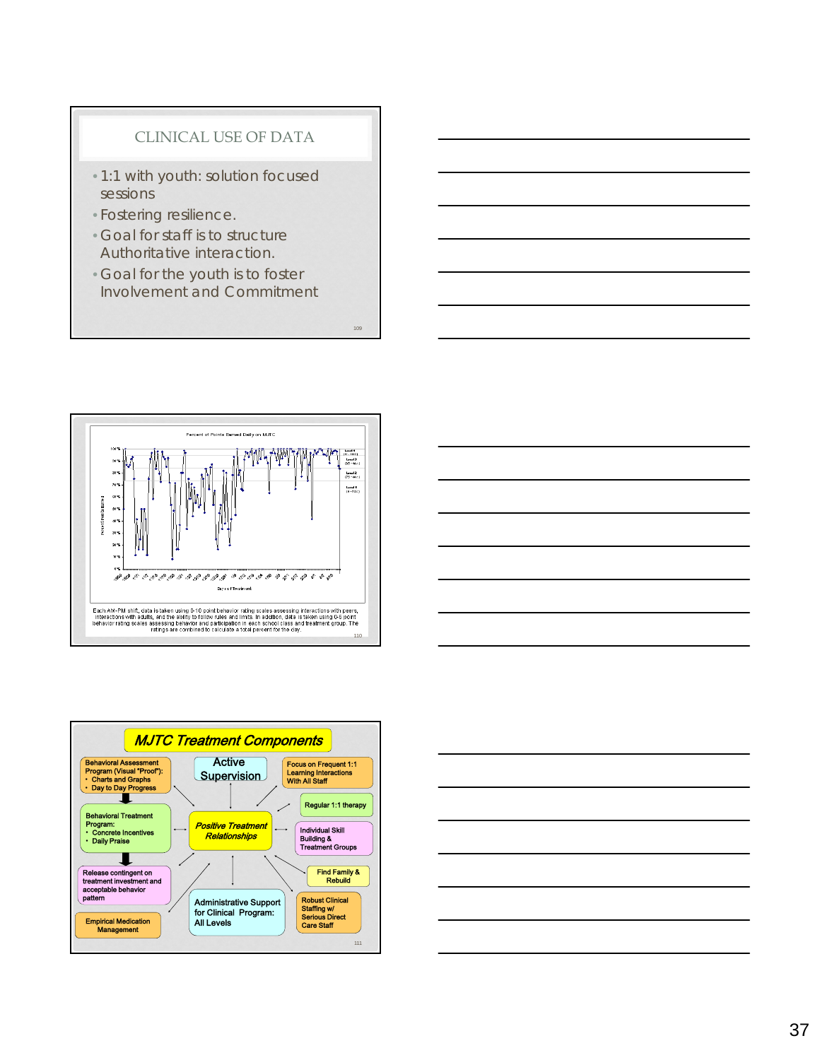## CLINICAL USE OF DATA

- 1:1 with youth: solution focused sessions
- Fostering resilience.
- Goal for staff is to structure Authoritative interaction.
- Goal for the youth is to foster Involvement and Commitment